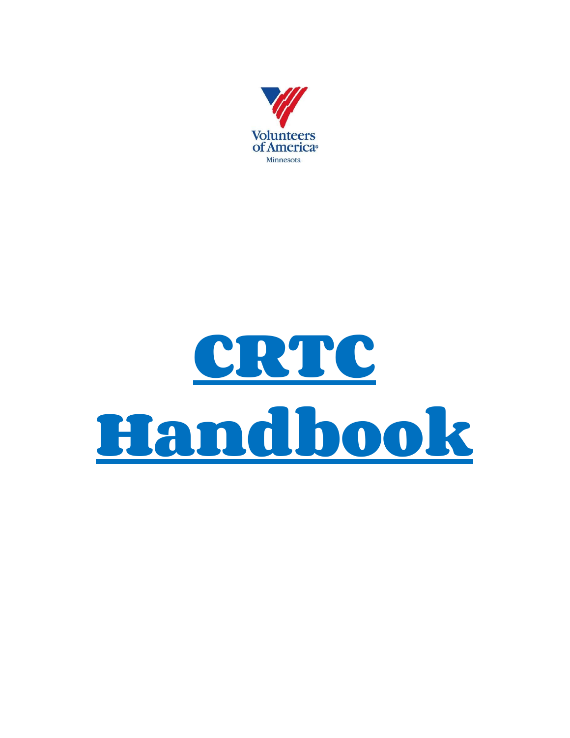

# **CRTC Handbook**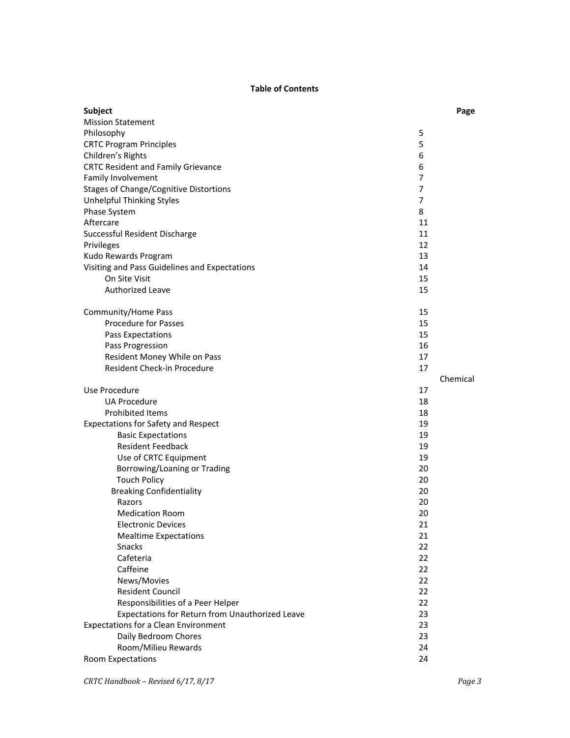### **Table of Contents**

| <b>Subject</b>                                                 |          | Page     |
|----------------------------------------------------------------|----------|----------|
| <b>Mission Statement</b>                                       |          |          |
| Philosophy                                                     | 5        |          |
| <b>CRTC Program Principles</b>                                 | 5        |          |
| Children's Rights                                              | 6        |          |
| <b>CRTC Resident and Family Grievance</b>                      | 6        |          |
| Family Involvement                                             | 7        |          |
| <b>Stages of Change/Cognitive Distortions</b>                  | 7        |          |
| Unhelpful Thinking Styles                                      | 7        |          |
| Phase System                                                   | 8        |          |
| Aftercare                                                      | 11       |          |
| Successful Resident Discharge                                  | 11       |          |
| Privileges                                                     | 12       |          |
| Kudo Rewards Program                                           | 13       |          |
| Visiting and Pass Guidelines and Expectations<br>On Site Visit | 14       |          |
| <b>Authorized Leave</b>                                        | 15       |          |
|                                                                | 15       |          |
| Community/Home Pass                                            | 15       |          |
| <b>Procedure for Passes</b>                                    | 15       |          |
| Pass Expectations                                              | 15       |          |
| Pass Progression                                               | 16       |          |
| Resident Money While on Pass                                   | 17       |          |
| Resident Check-in Procedure                                    | 17       |          |
|                                                                |          | Chemical |
| Use Procedure                                                  | 17       |          |
| UA Procedure                                                   | 18       |          |
| Prohibited Items                                               | 18       |          |
| <b>Expectations for Safety and Respect</b>                     | 19       |          |
| <b>Basic Expectations</b>                                      | 19       |          |
| <b>Resident Feedback</b>                                       | 19       |          |
| Use of CRTC Equipment                                          | 19       |          |
| Borrowing/Loaning or Trading                                   | 20<br>20 |          |
| <b>Touch Policy</b><br><b>Breaking Confidentiality</b>         | 20       |          |
| Razors                                                         | 20       |          |
| <b>Medication Room</b>                                         | 20       |          |
| Electronic Devices                                             | 21       |          |
| <b>Mealtime Expectations</b>                                   | 21       |          |
| <b>Snacks</b>                                                  | 22       |          |
| Cafeteria                                                      | 22       |          |
| Caffeine                                                       | 22       |          |
| News/Movies                                                    | 22       |          |
| <b>Resident Council</b>                                        | 22       |          |
| Responsibilities of a Peer Helper                              | 22       |          |
| Expectations for Return from Unauthorized Leave                | 23       |          |
| <b>Expectations for a Clean Environment</b>                    | 23       |          |
| Daily Bedroom Chores                                           | 23       |          |
| Room/Milieu Rewards                                            | 24       |          |
| Room Expectations                                              | 24       |          |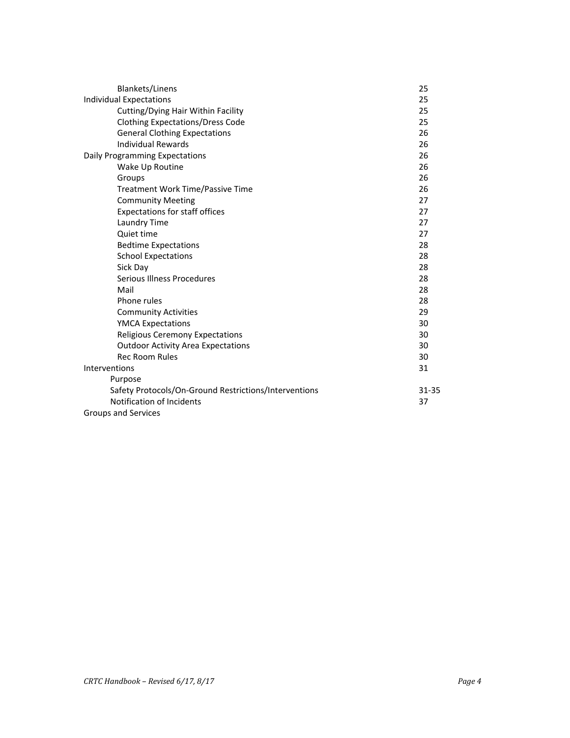| <b>Blankets/Linens</b>                                | 25        |
|-------------------------------------------------------|-----------|
| <b>Individual Expectations</b>                        | 25        |
| Cutting/Dying Hair Within Facility                    | 25        |
| <b>Clothing Expectations/Dress Code</b>               | 25        |
| <b>General Clothing Expectations</b>                  | 26        |
| <b>Individual Rewards</b>                             | 26        |
| Daily Programming Expectations                        | 26        |
| Wake Up Routine                                       | 26        |
| Groups                                                | 26        |
| Treatment Work Time/Passive Time                      | 26        |
| <b>Community Meeting</b>                              | 27        |
| <b>Expectations for staff offices</b>                 | 27        |
| Laundry Time                                          | 27        |
| Quiet time                                            | 27        |
| <b>Bedtime Expectations</b>                           | 28        |
| <b>School Expectations</b>                            | 28        |
| Sick Day                                              | 28        |
| Serious Illness Procedures                            | 28        |
| Mail                                                  | 28        |
| Phone rules                                           | 28        |
| <b>Community Activities</b>                           | 29        |
| <b>YMCA Expectations</b>                              | 30        |
| <b>Religious Ceremony Expectations</b>                | 30        |
| <b>Outdoor Activity Area Expectations</b>             | 30        |
| <b>Rec Room Rules</b>                                 | 30        |
| Interventions                                         | 31        |
| Purpose                                               |           |
| Safety Protocols/On-Ground Restrictions/Interventions | $31 - 35$ |
| Notification of Incidents                             | 37        |
| Groups and Services                                   |           |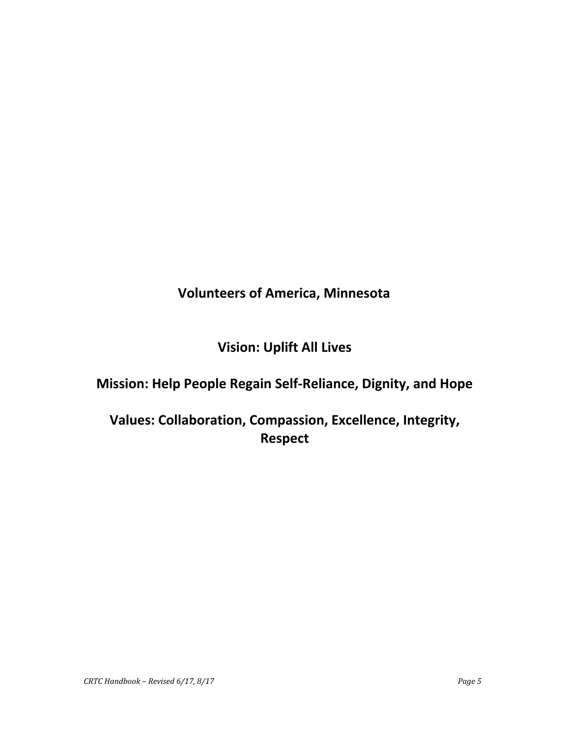# **Volunteers of America, Minnesota**

# **Vision: Uplift All Lives**

# **Mission: Help People Regain Self-Reliance, Dignity, and Hope**

# **Values: Collaboration, Compassion, Excellence, Integrity, Respect**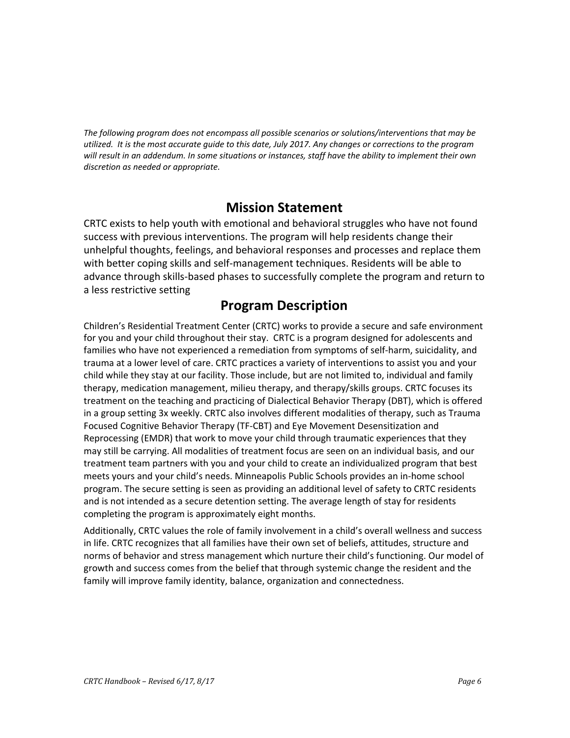*The following program does not encompass all possible scenarios or solutions/interventions that may be* utilized. It is the most accurate quide to this date, July 2017. Any changes or corrections to the program will result in an addendum. In some situations or instances, staff have the ability to implement their own *discretion as needed or appropriate.*

### **Mission Statement**

CRTC exists to help youth with emotional and behavioral struggles who have not found success with previous interventions. The program will help residents change their unhelpful thoughts, feelings, and behavioral responses and processes and replace them with better coping skills and self-management techniques. Residents will be able to advance through skills-based phases to successfully complete the program and return to a less restrictive setting

## **Program Description**

Children's Residential Treatment Center (CRTC) works to provide a secure and safe environment for you and your child throughout their stay. CRTC is a program designed for adolescents and families who have not experienced a remediation from symptoms of self-harm, suicidality, and trauma at a lower level of care. CRTC practices a variety of interventions to assist you and your child while they stay at our facility. Those include, but are not limited to, individual and family therapy, medication management, milieu therapy, and therapy/skills groups. CRTC focuses its treatment on the teaching and practicing of Dialectical Behavior Therapy (DBT), which is offered in a group setting 3x weekly. CRTC also involves different modalities of therapy, such as Trauma Focused Cognitive Behavior Therapy (TF-CBT) and Eye Movement Desensitization and Reprocessing (EMDR) that work to move your child through traumatic experiences that they may still be carrying. All modalities of treatment focus are seen on an individual basis, and our treatment team partners with you and your child to create an individualized program that best meets yours and your child's needs. Minneapolis Public Schools provides an in-home school program. The secure setting is seen as providing an additional level of safety to CRTC residents and is not intended as a secure detention setting. The average length of stay for residents completing the program is approximately eight months.

Additionally, CRTC values the role of family involvement in a child's overall wellness and success in life. CRTC recognizes that all families have their own set of beliefs, attitudes, structure and norms of behavior and stress management which nurture their child's functioning. Our model of growth and success comes from the belief that through systemic change the resident and the family will improve family identity, balance, organization and connectedness.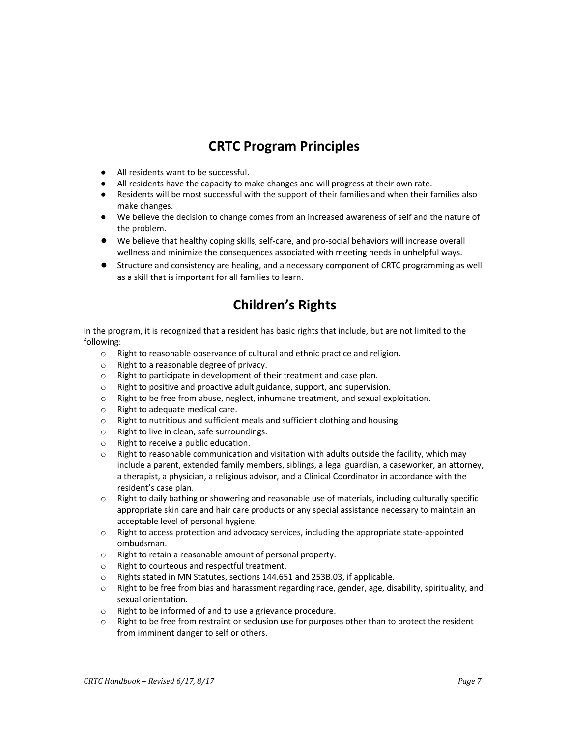# **CRTC Program Principles**

- All residents want to be successful.
- All residents have the capacity to make changes and will progress at their own rate.
- Residents will be most successful with the support of their families and when their families also make changes.
- We believe the decision to change comes from an increased awareness of self and the nature of the problem.
- We believe that healthy coping skills, self-care, and pro-social behaviors will increase overall wellness and minimize the consequences associated with meeting needs in unhelpful ways.
- Structure and consistency are healing, and a necessary component of CRTC programming as well as a skill that is important for all families to learn.

# **Children's Rights**

In the program, it is recognized that a resident has basic rights that include, but are not limited to the following:

- o Right to reasonable observance of cultural and ethnic practice and religion.
- o Right to a reasonable degree of privacy.
- o Right to participate in development of their treatment and case plan.
- o Right to positive and proactive adult guidance, support, and supervision.
- $\circ$  Right to be free from abuse, neglect, inhumane treatment, and sexual exploitation.
- o Right to adequate medical care.
- o Right to nutritious and sufficient meals and sufficient clothing and housing.
- o Right to live in clean, safe surroundings.
- o Right to receive a public education.
- $\circ$  Right to reasonable communication and visitation with adults outside the facility, which may include a parent, extended family members, siblings, a legal guardian, a caseworker, an attorney, a therapist, a physician, a religious advisor, and a Clinical Coordinator in accordance with the resident's case plan.
- $\circ$  Right to daily bathing or showering and reasonable use of materials, including culturally specific appropriate skin care and hair care products or any special assistance necessary to maintain an acceptable level of personal hygiene.
- o Right to access protection and advocacy services, including the appropriate state-appointed ombudsman.
- o Right to retain a reasonable amount of personal property.
- o Right to courteous and respectful treatment.
- o Rights stated in MN Statutes, sections 144.651 and 253B.03, if applicable.
- $\circ$  Right to be free from bias and harassment regarding race, gender, age, disability, spirituality, and sexual orientation.
- o Right to be informed of and to use a grievance procedure.
- $\circ$  Right to be free from restraint or seclusion use for purposes other than to protect the resident from imminent danger to self or others.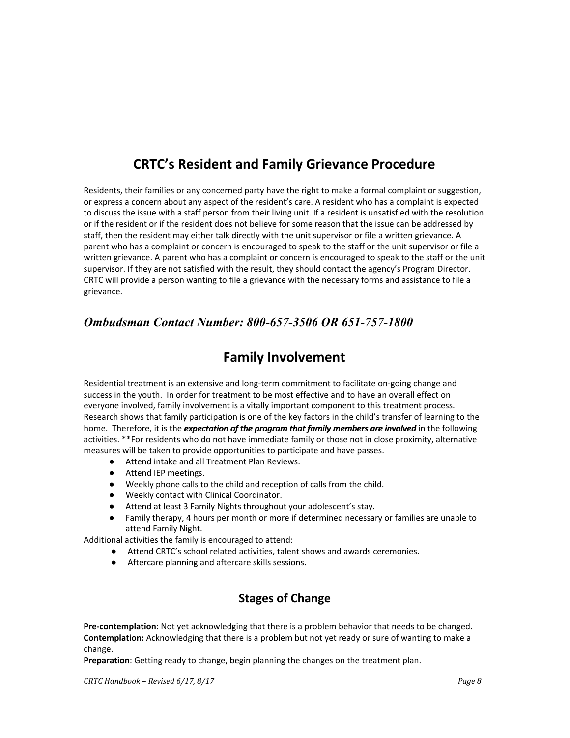# **CRTC's Resident and Family Grievance Procedure**

Residents, their families or any concerned party have the right to make a formal complaint or suggestion, or express a concern about any aspect of the resident's care. A resident who has a complaint is expected to discuss the issue with a staff person from their living unit. If a resident is unsatisfied with the resolution or if the resident or if the resident does not believe for some reason that the issue can be addressed by staff, then the resident may either talk directly with the unit supervisor or file a written grievance. A parent who has a complaint or concern is encouraged to speak to the staff or the unit supervisor or file a written grievance. A parent who has a complaint or concern is encouraged to speak to the staff or the unit supervisor. If they are not satisfied with the result, they should contact the agency's Program Director. CRTC will provide a person wanting to file a grievance with the necessary forms and assistance to file a grievance.

### *Ombudsman Contact Number: 800-657-3506 OR 651-757-1800*

# **Family Involvement**

Residential treatment is an extensive and long-term commitment to facilitate on-going change and success in the youth. In order for treatment to be most effective and to have an overall effect on everyone involved, family involvement is a vitally important component to this treatment process. Research shows that family participation is one of the key factors in the child's transfer of learning to the home. Therefore, it is the *expectation of the program that family members are involved* in the following activities. \*\*For residents who do not have immediate family or those not in close proximity, alternative measures will be taken to provide opportunities to participate and have passes.

- Attend intake and all Treatment Plan Reviews.
- Attend IEP meetings.
- Weekly phone calls to the child and reception of calls from the child.
- Weekly contact with Clinical Coordinator.
- Attend at least 3 Family Nights throughout your adolescent's stay.
- Family therapy, 4 hours per month or more if determined necessary or families are unable to attend Family Night.

Additional activities the family is encouraged to attend:

- Attend CRTC's school related activities, talent shows and awards ceremonies.
- Aftercare planning and aftercare skills sessions.

### **Stages of Change**

**Pre-contemplation**: Not yet acknowledging that there is a problem behavior that needs to be changed. **Contemplation:** Acknowledging that there is a problem but not yet ready or sure of wanting to make a change.

**Preparation**: Getting ready to change, begin planning the changes on the treatment plan.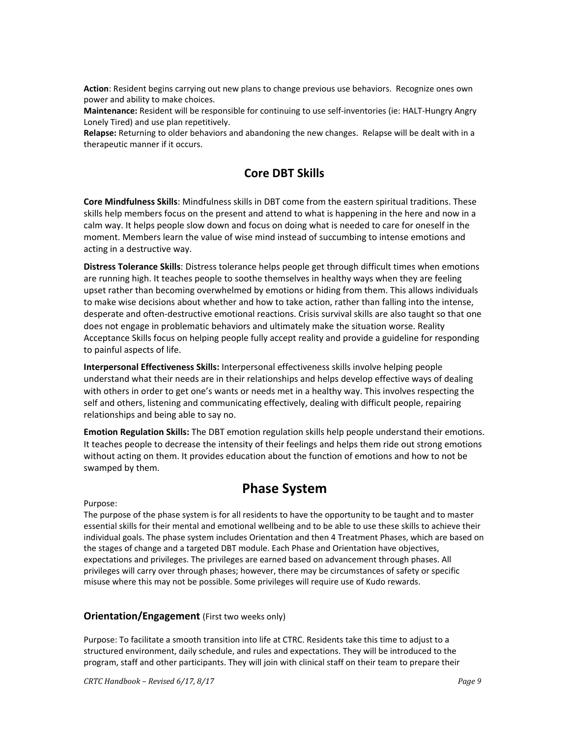**Action**: Resident begins carrying out new plans to change previous use behaviors. Recognize ones own power and ability to make choices.

**Maintenance:** Resident will be responsible for continuing to use self-inventories (ie: HALT-Hungry Angry Lonely Tired) and use plan repetitively.

**Relapse:** Returning to older behaviors and abandoning the new changes. Relapse will be dealt with in a therapeutic manner if it occurs.

### **Core DBT Skills**

**Core Mindfulness Skills**: Mindfulness skills in DBT come from the eastern spiritual traditions. These skills help members focus on the present and attend to what is happening in the here and now in a calm way. It helps people slow down and focus on doing what is needed to care for oneself in the moment. Members learn the value of wise mind instead of succumbing to intense emotions and acting in a destructive way.

**Distress Tolerance Skills**: Distress tolerance helps people get through difficult times when emotions are running high. It teaches people to soothe themselves in healthy ways when they are feeling upset rather than becoming overwhelmed by emotions or hiding from them. This allows individuals to make wise decisions about whether and how to take action, rather than falling into the intense, desperate and often-destructive emotional reactions. Crisis survival skills are also taught so that one does not engage in problematic behaviors and ultimately make the situation worse. Reality Acceptance Skills focus on helping people fully accept reality and provide a guideline for responding to painful aspects of life.

**Interpersonal Effectiveness Skills:** Interpersonal effectiveness skills involve helping people understand what their needs are in their relationships and helps develop effective ways of dealing with others in order to get one's wants or needs met in a healthy way. This involves respecting the self and others, listening and communicating effectively, dealing with difficult people, repairing relationships and being able to say no.

**Emotion Regulation Skills:** The DBT emotion regulation skills help people understand their emotions. It teaches people to decrease the intensity of their feelings and helps them ride out strong emotions without acting on them. It provides education about the function of emotions and how to not be swamped by them.

### **Phase System**

Purpose:

The purpose of the phase system is for all residents to have the opportunity to be taught and to master essential skills for their mental and emotional wellbeing and to be able to use these skills to achieve their individual goals. The phase system includes Orientation and then 4 Treatment Phases, which are based on the stages of change and a targeted DBT module. Each Phase and Orientation have objectives, expectations and privileges. The privileges are earned based on advancement through phases. All privileges will carry over through phases; however, there may be circumstances of safety or specific misuse where this may not be possible. Some privileges will require use of Kudo rewards.

### **Orientation/Engagement** (First two weeks only)

Purpose: To facilitate a smooth transition into life at CTRC. Residents take this time to adjust to a structured environment, daily schedule, and rules and expectations. They will be introduced to the program, staff and other participants. They will join with clinical staff on their team to prepare their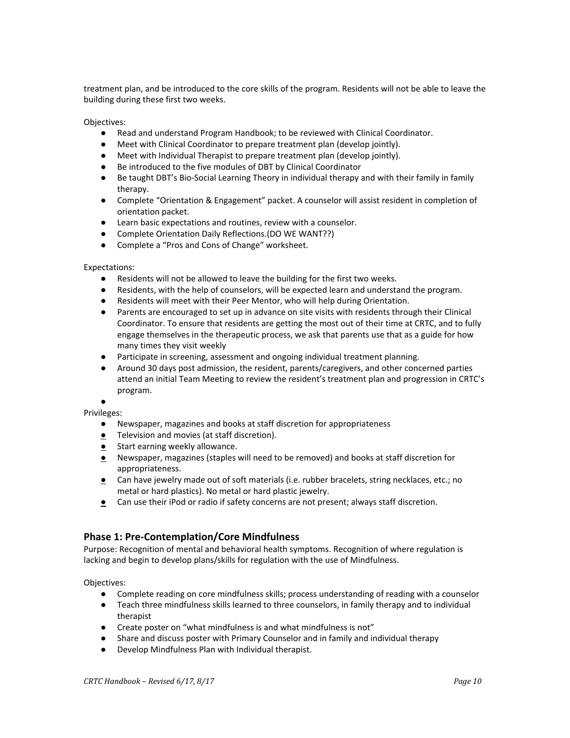treatment plan, and be introduced to the core skills of the program. Residents will not be able to leave the building during these first two weeks.

Objectives:

- Read and understand Program Handbook; to be reviewed with Clinical Coordinator.
- Meet with Clinical Coordinator to prepare treatment plan (develop jointly).
- Meet with Individual Therapist to prepare treatment plan (develop jointly).
- Be introduced to the five modules of DBT by Clinical Coordinator
- Be taught DBT's Bio-Social Learning Theory in individual therapy and with their family in family therapy.
- Complete "Orientation & Engagement" packet. A counselor will assist resident in completion of orientation packet.
- Learn basic expectations and routines, review with a counselor.
- Complete Orientation Daily Reflections.(DO WE WANT??)
- Complete a "Pros and Cons of Change" worksheet.

### Expectations:

- Residents will not be allowed to leave the building for the first two weeks.
- Residents, with the help of counselors, will be expected learn and understand the program.
- Residents will meet with their Peer Mentor, who will help during Orientation.
- Parents are encouraged to set up in advance on site visits with residents through their Clinical Coordinator. To ensure that residents are getting the most out of their time at CRTC, and to fully engage themselves in the therapeutic process, we ask that parents use that as a guide for how many times they visit weekly
- Participate in screening, assessment and ongoing individual treatment planning.
- Around 30 days post admission, the resident, parents/caregivers, and other concerned parties attend an initial Team Meeting to review the resident's treatment plan and progression in CRTC's program.

● Privileges:

- Newspaper, magazines and books at staff discretion for appropriateness
- **●** Television and movies (at staff discretion).
- **●** Start earning weekly allowance.
- **●** Newspaper, magazines (staples will need to be removed) and books at staff discretion for appropriateness.
- **●** Can have jewelry made out of soft materials (i.e. rubber bracelets, string necklaces, etc.; no metal or hard plastics). No metal or hard plastic jewelry.
- **●** Can use their iPod or radio if safety concerns are not present; always staff discretion.

### **Phase 1: Pre-Contemplation/Core Mindfulness**

Purpose: Recognition of mental and behavioral health symptoms. Recognition of where regulation is lacking and begin to develop plans/skills for regulation with the use of Mindfulness.

Objectives:

- Complete reading on core mindfulness skills; process understanding of reading with a counselor
- Teach three mindfulness skills learned to three counselors, in family therapy and to individual therapist
- Create poster on "what mindfulness is and what mindfulness is not"
- Share and discuss poster with Primary Counselor and in family and individual therapy
- Develop Mindfulness Plan with Individual therapist.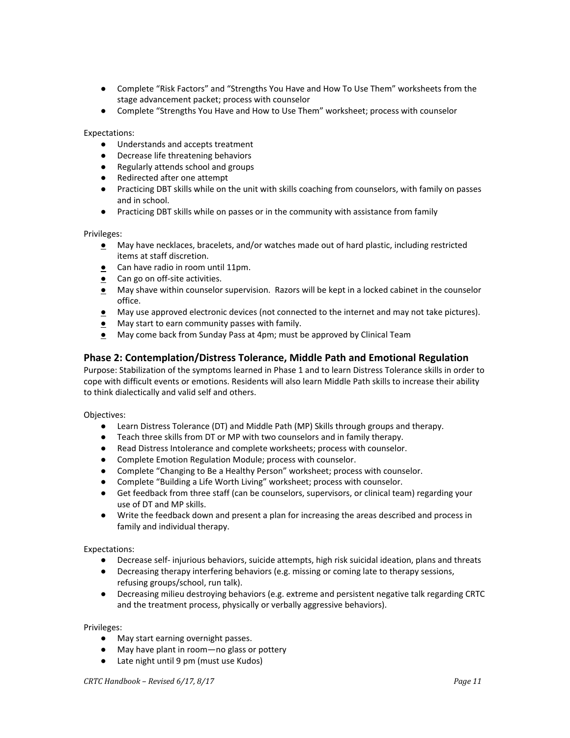- Complete "Risk Factors" and "Strengths You Have and How To Use Them" worksheets from the stage advancement packet; process with counselor
- Complete "Strengths You Have and How to Use Them" worksheet; process with counselor

Expectations:

- Understands and accepts treatment
- Decrease life threatening behaviors
- Regularly attends school and groups
- Redirected after one attempt
- Practicing DBT skills while on the unit with skills coaching from counselors, with family on passes and in school.
- Practicing DBT skills while on passes or in the community with assistance from family

Privileges:

- **●** May have necklaces, bracelets, and/or watches made out of hard plastic, including restricted items at staff discretion.
- **●** Can have radio in room until 11pm.
- **●** Can go on off-site activities.
- **●** May shave within counselor supervision. Razors will be kept in a locked cabinet in the counselor office.
- **●** May use approved electronic devices (not connected to the internet and may not take pictures).
- **●** May start to earn community passes with family.
- **●** May come back from Sunday Pass at 4pm; must be approved by Clinical Team

### **Phase 2: Contemplation/Distress Tolerance, Middle Path and Emotional Regulation**

Purpose: Stabilization of the symptoms learned in Phase 1 and to learn Distress Tolerance skills in order to cope with difficult events or emotions. Residents will also learn Middle Path skills to increase their ability to think dialectically and valid self and others.

Objectives:

- Learn Distress Tolerance (DT) and Middle Path (MP) Skills through groups and therapy.
- Teach three skills from DT or MP with two counselors and in family therapy.
- Read Distress Intolerance and complete worksheets; process with counselor.
- Complete Emotion Regulation Module; process with counselor.
- Complete "Changing to Be a Healthy Person" worksheet; process with counselor.
- Complete "Building a Life Worth Living" worksheet; process with counselor.
- Get feedback from three staff (can be counselors, supervisors, or clinical team) regarding your use of DT and MP skills.
- Write the feedback down and present a plan for increasing the areas described and process in family and individual therapy.

Expectations:

- Decrease self- injurious behaviors, suicide attempts, high risk suicidal ideation, plans and threats
- Decreasing therapy interfering behaviors (e.g. missing or coming late to therapy sessions, refusing groups/school, run talk).
- Decreasing milieu destroying behaviors (e.g. extreme and persistent negative talk regarding CRTC and the treatment process, physically or verbally aggressive behaviors).

Privileges:

- May start earning overnight passes.
- May have plant in room—no glass or pottery
- Late night until 9 pm (must use Kudos)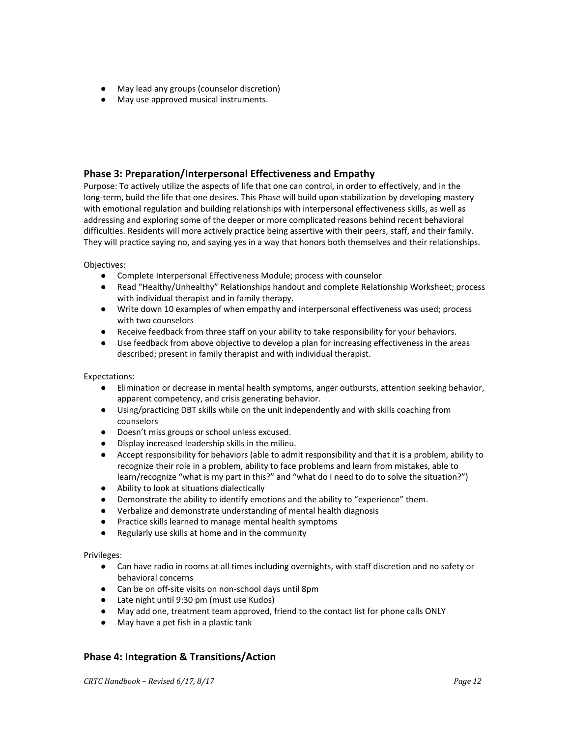- May lead any groups (counselor discretion)
- May use approved musical instruments.

### **Phase 3: Preparation/Interpersonal Effectiveness and Empathy**

Purpose: To actively utilize the aspects of life that one can control, in order to effectively, and in the long-term, build the life that one desires. This Phase will build upon stabilization by developing mastery with emotional regulation and building relationships with interpersonal effectiveness skills, as well as addressing and exploring some of the deeper or more complicated reasons behind recent behavioral difficulties. Residents will more actively practice being assertive with their peers, staff, and their family. They will practice saying no, and saying yes in a way that honors both themselves and their relationships.

### Objectives:

- Complete Interpersonal Effectiveness Module; process with counselor
- Read "Healthy/Unhealthy" Relationships handout and complete Relationship Worksheet; process with individual therapist and in family therapy.
- Write down 10 examples of when empathy and interpersonal effectiveness was used; process with two counselors
- Receive feedback from three staff on your ability to take responsibility for your behaviors.
- Use feedback from above objective to develop a plan for increasing effectiveness in the areas described; present in family therapist and with individual therapist.

### Expectations:

- Elimination or decrease in mental health symptoms, anger outbursts, attention seeking behavior, apparent competency, and crisis generating behavior.
- Using/practicing DBT skills while on the unit independently and with skills coaching from counselors
- Doesn't miss groups or school unless excused.
- Display increased leadership skills in the milieu.
- Accept responsibility for behaviors (able to admit responsibility and that it is a problem, ability to recognize their role in a problem, ability to face problems and learn from mistakes, able to learn/recognize "what is my part in this?" and "what do I need to do to solve the situation?")
- Ability to look at situations dialectically
- Demonstrate the ability to identify emotions and the ability to "experience" them.
- Verbalize and demonstrate understanding of mental health diagnosis
- Practice skills learned to manage mental health symptoms
- Regularly use skills at home and in the community

### Privileges:

- Can have radio in rooms at all times including overnights, with staff discretion and no safety or behavioral concerns
- Can be on off-site visits on non-school days until 8pm
- Late night until 9:30 pm (must use Kudos)
- May add one, treatment team approved, friend to the contact list for phone calls ONLY
- May have a pet fish in a plastic tank

### **Phase 4: Integration & Transitions/Action**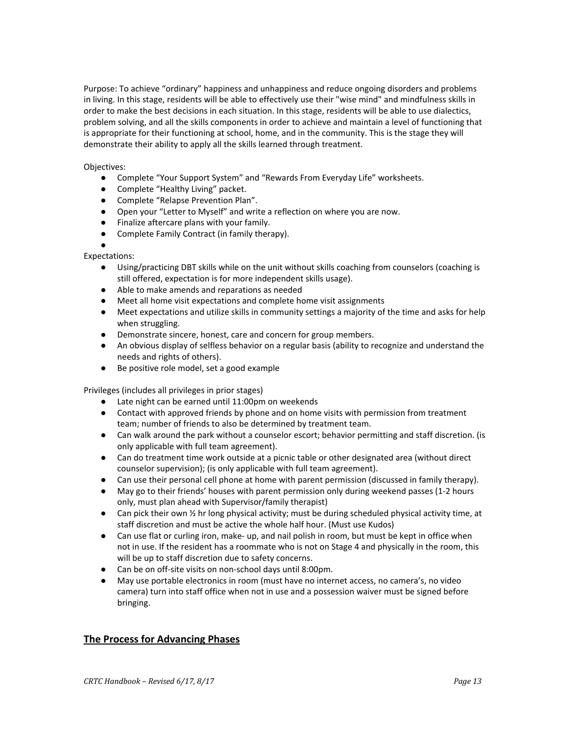Purpose: To achieve "ordinary" happiness and unhappiness and reduce ongoing disorders and problems in living. In this stage, residents will be able to effectively use their "wise mind" and mindfulness skills in order to make the best decisions in each situation. In this stage, residents will be able to use dialectics, problem solving, and all the skills components in order to achieve and maintain a level of functioning that is appropriate for their functioning at school, home, and in the community. This is the stage they will demonstrate their ability to apply all the skills learned through treatment.

### Objectives:

- Complete "Your Support System" and "Rewards From Everyday Life" worksheets.
- Complete "Healthy Living" packet.
- Complete "Relapse Prevention Plan".
- Open your "Letter to Myself" and write a reflection on where you are now.
- Finalize aftercare plans with your family.
- Complete Family Contract (in family therapy).

#### ● Expectations:

- Using/practicing DBT skills while on the unit without skills coaching from counselors (coaching is still offered, expectation is for more independent skills usage).
- Able to make amends and reparations as needed
- Meet all home visit expectations and complete home visit assignments
- Meet expectations and utilize skills in community settings a majority of the time and asks for help when struggling.
- Demonstrate sincere, honest, care and concern for group members.
- An obvious display of selfless behavior on a regular basis (ability to recognize and understand the needs and rights of others).
- Be positive role model, set a good example

Privileges (includes all privileges in prior stages)

- Late night can be earned until 11:00pm on weekends
- Contact with approved friends by phone and on home visits with permission from treatment team; number of friends to also be determined by treatment team.
- Can walk around the park without a counselor escort; behavior permitting and staff discretion. (is only applicable with full team agreement).
- Can do treatment time work outside at a picnic table or other designated area (without direct counselor supervision); (is only applicable with full team agreement).
- Can use their personal cell phone at home with parent permission (discussed in family therapy).
- May go to their friends' houses with parent permission only during weekend passes (1-2 hours only, must plan ahead with Supervisor/family therapist)
- **•** Can pick their own  $\frac{1}{2}$  hr long physical activity; must be during scheduled physical activity time, at staff discretion and must be active the whole half hour. (Must use Kudos)
- Can use flat or curling iron, make- up, and nail polish in room, but must be kept in office when not in use. If the resident has a roommate who is not on Stage 4 and physically in the room, this will be up to staff discretion due to safety concerns.
- Can be on off-site visits on non-school days until 8:00pm.
- May use portable electronics in room (must have no internet access, no camera's, no video camera) turn into staff office when not in use and a possession waiver must be signed before bringing.

### **The Process for Advancing Phases**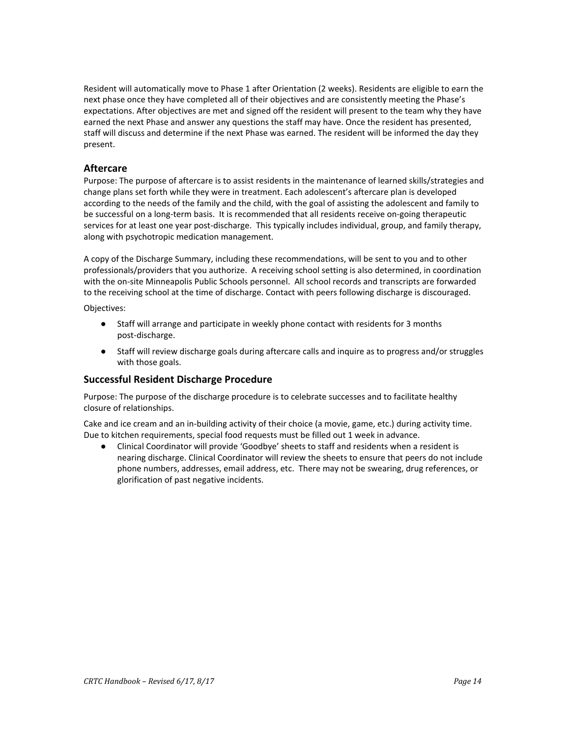Resident will automatically move to Phase 1 after Orientation (2 weeks). Residents are eligible to earn the next phase once they have completed all of their objectives and are consistently meeting the Phase's expectations. After objectives are met and signed off the resident will present to the team why they have earned the next Phase and answer any questions the staff may have. Once the resident has presented, staff will discuss and determine if the next Phase was earned. The resident will be informed the day they present.

### **Aftercare**

Purpose: The purpose of aftercare is to assist residents in the maintenance of learned skills/strategies and change plans set forth while they were in treatment. Each adolescent's aftercare plan is developed according to the needs of the family and the child, with the goal of assisting the adolescent and family to be successful on a long-term basis. It is recommended that all residents receive on-going therapeutic services for at least one year post-discharge. This typically includes individual, group, and family therapy, along with psychotropic medication management.

A copy of the Discharge Summary, including these recommendations, will be sent to you and to other professionals/providers that you authorize. A receiving school setting is also determined, in coordination with the on-site Minneapolis Public Schools personnel. All school records and transcripts are forwarded to the receiving school at the time of discharge. Contact with peers following discharge is discouraged.

Objectives:

- Staff will arrange and participate in weekly phone contact with residents for 3 months post-discharge.
- Staff will review discharge goals during aftercare calls and inquire as to progress and/or struggles with those goals.

### **Successful Resident Discharge Procedure**

Purpose: The purpose of the discharge procedure is to celebrate successes and to facilitate healthy closure of relationships.

Cake and ice cream and an in-building activity of their choice (a movie, game, etc.) during activity time. Due to kitchen requirements, special food requests must be filled out 1 week in advance.

● Clinical Coordinator will provide 'Goodbye' sheets to staff and residents when a resident is nearing discharge. Clinical Coordinator will review the sheets to ensure that peers do not include phone numbers, addresses, email address, etc. There may not be swearing, drug references, or glorification of past negative incidents.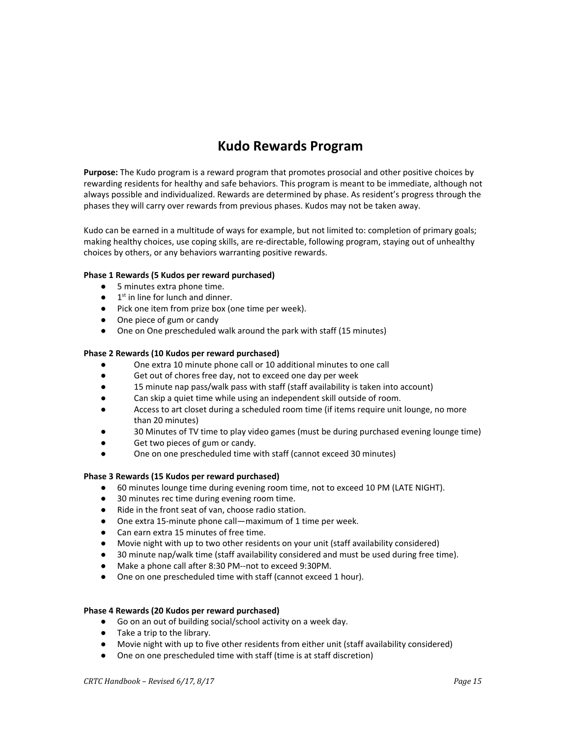# **Kudo Rewards Program**

**Purpose:** The Kudo program is a reward program that promotes prosocial and other positive choices by rewarding residents for healthy and safe behaviors. This program is meant to be immediate, although not always possible and individualized. Rewards are determined by phase. As resident's progress through the phases they will carry over rewards from previous phases. Kudos may not be taken away.

Kudo can be earned in a multitude of ways for example, but not limited to: completion of primary goals; making healthy choices, use coping skills, are re-directable, following program, staying out of unhealthy choices by others, or any behaviors warranting positive rewards.

### **Phase 1 Rewards (5 Kudos per reward purchased)**

- 5 minutes extra phone time.
- $\bullet$  1<sup>st</sup> in line for lunch and dinner.
- Pick one item from prize box (one time per week).
- One piece of gum or candy
- One on One prescheduled walk around the park with staff (15 minutes)

### **Phase 2 Rewards (10 Kudos per reward purchased)**

- One extra 10 minute phone call or 10 additional minutes to one call
- Get out of chores free day, not to exceed one day per week
- 15 minute nap pass/walk pass with staff (staff availability is taken into account)
- Can skip a quiet time while using an independent skill outside of room.
- Access to art closet during a scheduled room time (if items require unit lounge, no more than 20 minutes)
- 30 Minutes of TV time to play video games (must be during purchased evening lounge time)
- Get two pieces of gum or candy.
- One on one prescheduled time with staff (cannot exceed 30 minutes)

### **Phase 3 Rewards (15 Kudos per reward purchased)**

- 60 minutes lounge time during evening room time, not to exceed 10 PM (LATE NIGHT).
- 30 minutes rec time during evening room time.
- Ride in the front seat of van, choose radio station.
- One extra 15-minute phone call—maximum of 1 time per week.
- Can earn extra 15 minutes of free time.
- Movie night with up to two other residents on your unit (staff availability considered)
- 30 minute nap/walk time (staff availability considered and must be used during free time).
- Make a phone call after 8:30 PM--not to exceed 9:30PM.
- One on one prescheduled time with staff (cannot exceed 1 hour).

### **Phase 4 Rewards (20 Kudos per reward purchased)**

- **●** Go on an out of building social/school activity on a week day.
- **●** Take a trip to the library.
- Movie night with up to five other residents from either unit (staff availability considered)
- One on one prescheduled time with staff (time is at staff discretion)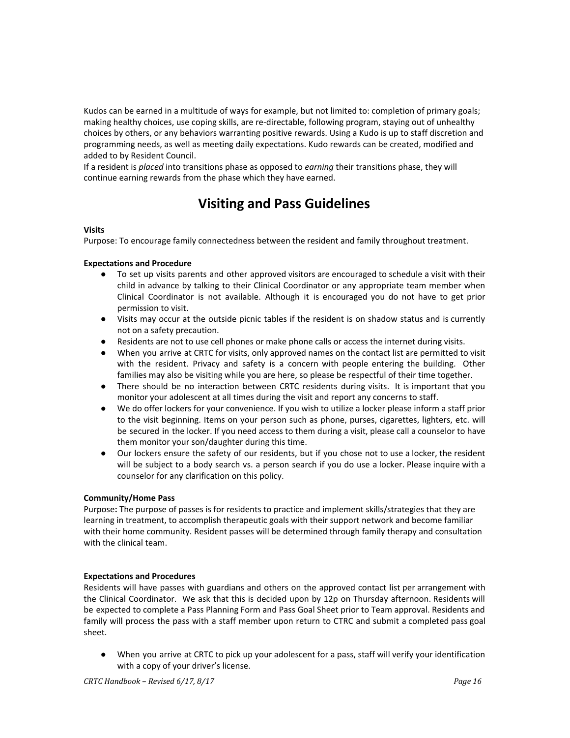Kudos can be earned in a multitude of ways for example, but not limited to: completion of primary goals; making healthy choices, use coping skills, are re-directable, following program, staying out of unhealthy choices by others, or any behaviors warranting positive rewards. Using a Kudo is up to staff discretion and programming needs, as well as meeting daily expectations. Kudo rewards can be created, modified and added to by Resident Council.

If a resident is *placed* into transitions phase as opposed to *earning* their transitions phase, they will continue earning rewards from the phase which they have earned.

# **Visiting and Pass Guidelines**

### **Visits**

Purpose: To encourage family connectedness between the resident and family throughout treatment.

### **Expectations and Procedure**

- To set up visits parents and other approved visitors are encouraged to schedule a visit with their child in advance by talking to their Clinical Coordinator or any appropriate team member when Clinical Coordinator is not available. Although it is encouraged you do not have to get prior permission to visit.
- **●** Visits may occur at the outside picnic tables if the resident is on shadow status and is currently not on a safety precaution.
- **●** Residents are not to use cell phones or make phone calls or access the internet during visits.
- **●** When you arrive at CRTC for visits, only approved names on the contact list are permitted to visit with the resident. Privacy and safety is a concern with people entering the building. Other families may also be visiting while you are here, so please be respectful of their time together.
- **●** There should be no interaction between CRTC residents during visits. It is important that you monitor your adolescent at all times during the visit and report any concerns to staff.
- **●** We do offer lockers for your convenience. If you wish to utilize a locker please inform a staff prior to the visit beginning. Items on your person such as phone, purses, cigarettes, lighters, etc. will be secured in the locker. If you need access to them during a visit, please call a counselor to have them monitor your son/daughter during this time.
- **●** Our lockers ensure the safety of our residents, but if you chose not to use a locker, the resident will be subject to a body search vs. a person search if you do use a locker. Please inquire with a counselor for any clarification on this policy.

### **Community/Home Pass**

Purpose**:** The purpose of passes is for residents to practice and implement skills/strategies that they are learning in treatment, to accomplish therapeutic goals with their support network and become familiar with their home community. Resident passes will be determined through family therapy and consultation with the clinical team.

### **Expectations and Procedures**

Residents will have passes with guardians and others on the approved contact list per arrangement with the Clinical Coordinator. We ask that this is decided upon by 12p on Thursday afternoon. Residents will be expected to complete a Pass Planning Form and Pass Goal Sheet prior to Team approval. Residents and family will process the pass with a staff member upon return to CTRC and submit a completed pass goal sheet.

● When you arrive at CRTC to pick up your adolescent for a pass, staff will verify your identification with a copy of your driver's license.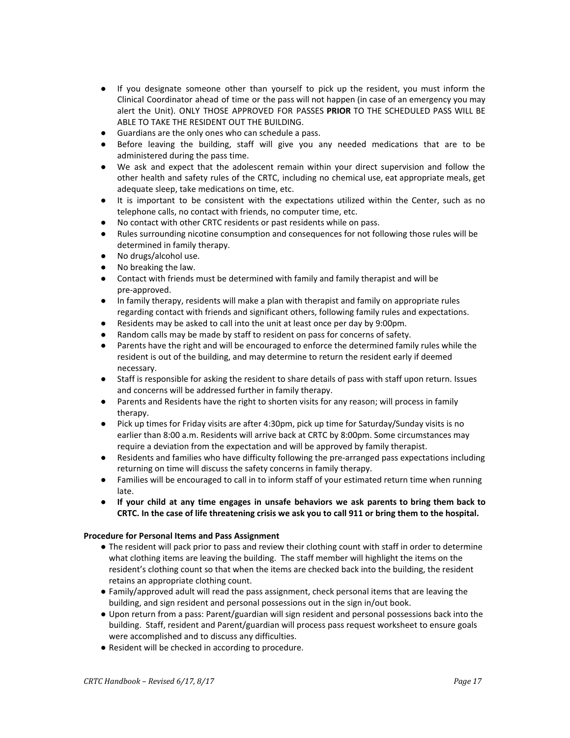- If you designate someone other than yourself to pick up the resident, you must inform the Clinical Coordinator ahead of time or the pass will not happen (in case of an emergency you may alert the Unit). ONLY THOSE APPROVED FOR PASSES **PRIOR** TO THE SCHEDULED PASS WILL BE ABLE TO TAKE THE RESIDENT OUT THE BUILDING.
- Guardians are the only ones who can schedule a pass.
- Before leaving the building, staff will give you any needed medications that are to be administered during the pass time.
- We ask and expect that the adolescent remain within your direct supervision and follow the other health and safety rules of the CRTC, including no chemical use, eat appropriate meals, get adequate sleep, take medications on time, etc.
- It is important to be consistent with the expectations utilized within the Center, such as no telephone calls, no contact with friends, no computer time, etc.
- No contact with other CRTC residents or past residents while on pass.
- Rules surrounding nicotine consumption and consequences for not following those rules will be determined in family therapy.
- No drugs/alcohol use.
- No breaking the law.
- Contact with friends must be determined with family and family therapist and will be pre-approved.
- In family therapy, residents will make a plan with therapist and family on appropriate rules regarding contact with friends and significant others, following family rules and expectations.
- Residents may be asked to call into the unit at least once per day by 9:00pm.
- Random calls may be made by staff to resident on pass for concerns of safety.
- Parents have the right and will be encouraged to enforce the determined family rules while the resident is out of the building, and may determine to return the resident early if deemed necessary.
- Staff is responsible for asking the resident to share details of pass with staff upon return. Issues and concerns will be addressed further in family therapy.
- Parents and Residents have the right to shorten visits for any reason; will process in family therapy.
- Pick up times for Friday visits are after 4:30pm, pick up time for Saturday/Sunday visits is no earlier than 8:00 a.m. Residents will arrive back at CRTC by 8:00pm. Some circumstances may require a deviation from the expectation and will be approved by family therapist.
- Residents and families who have difficulty following the pre-arranged pass expectations including returning on time will discuss the safety concerns in family therapy.
- Families will be encouraged to call in to inform staff of your estimated return time when running late.
- **If your child at any time engages in unsafe behaviors we ask parents to bring them back to** CRTC. In the case of life threatening crisis we ask you to call 911 or bring them to the hospital.

### **Procedure for Personal Items and Pass Assignment**

- The resident will pack prior to pass and review their clothing count with staff in order to determine what clothing items are leaving the building. The staff member will highlight the items on the resident's clothing count so that when the items are checked back into the building, the resident retains an appropriate clothing count.
- Family/approved adult will read the pass assignment, check personal items that are leaving the building, and sign resident and personal possessions out in the sign in/out book.
- Upon return from a pass: Parent/guardian will sign resident and personal possessions back into the building. Staff, resident and Parent/guardian will process pass request worksheet to ensure goals were accomplished and to discuss any difficulties.
- Resident will be checked in according to procedure.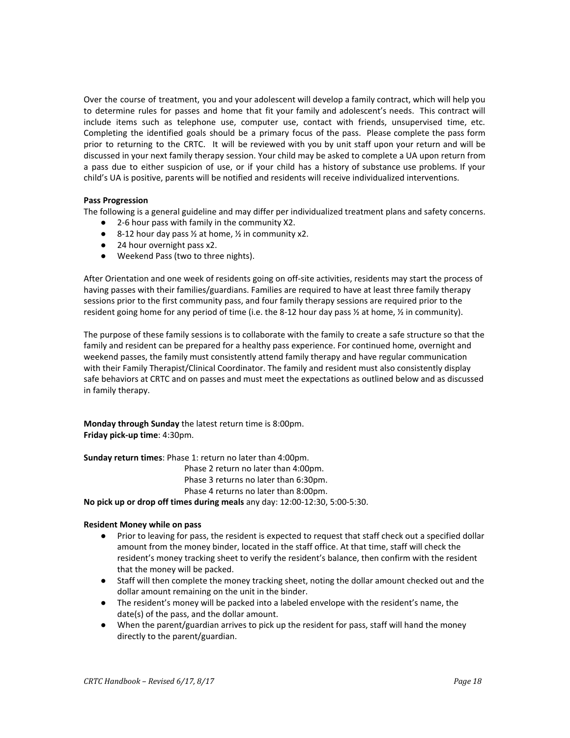Over the course of treatment, you and your adolescent will develop a family contract, which will help you to determine rules for passes and home that fit your family and adolescent's needs. This contract will include items such as telephone use, computer use, contact with friends, unsupervised time, etc. Completing the identified goals should be a primary focus of the pass. Please complete the pass form prior to returning to the CRTC. It will be reviewed with you by unit staff upon your return and will be discussed in your next family therapy session. Your child may be asked to complete a UA upon return from a pass due to either suspicion of use, or if your child has a history of substance use problems. If your child's UA is positive, parents will be notified and residents will receive individualized interventions.

### **Pass Progression**

The following is a general guideline and may differ per individualized treatment plans and safety concerns.

- 2-6 hour pass with family in the community X2.
- 8-12 hour day pass  $\frac{1}{2}$  at home,  $\frac{1}{2}$  in community x2.
- 24 hour overnight pass x2.
- Weekend Pass (two to three nights).

After Orientation and one week of residents going on off-site activities, residents may start the process of having passes with their families/guardians. Families are required to have at least three family therapy sessions prior to the first community pass, and four family therapy sessions are required prior to the resident going home for any period of time (i.e. the 8-12 hour day pass ½ at home, ½ in community).

The purpose of these family sessions is to collaborate with the family to create a safe structure so that the family and resident can be prepared for a healthy pass experience. For continued home, overnight and weekend passes, the family must consistently attend family therapy and have regular communication with their Family Therapist/Clinical Coordinator. The family and resident must also consistently display safe behaviors at CRTC and on passes and must meet the expectations as outlined below and as discussed in family therapy.

**Monday through Sunday** the latest return time is 8:00pm. **Friday pick-up time**: 4:30pm.

**Sunday return times**: Phase 1: return no later than 4:00pm.

Phase 2 return no later than 4:00pm.

Phase 3 returns no later than 6:30pm.

Phase 4 returns no later than 8:00pm.

**No pick up or drop off times during meals** any day: 12:00-12:30, 5:00-5:30.

### **Resident Money while on pass**

- **●** Prior to leaving for pass, the resident is expected to request that staff check out a specified dollar amount from the money binder, located in the staff office. At that time, staff will check the resident's money tracking sheet to verify the resident's balance, then confirm with the resident that the money will be packed.
- **●** Staff will then complete the money tracking sheet, noting the dollar amount checked out and the dollar amount remaining on the unit in the binder.
- **●** The resident's money will be packed into a labeled envelope with the resident's name, the date(s) of the pass, and the dollar amount.
- **●** When the parent/guardian arrives to pick up the resident for pass, staff will hand the money directly to the parent/guardian.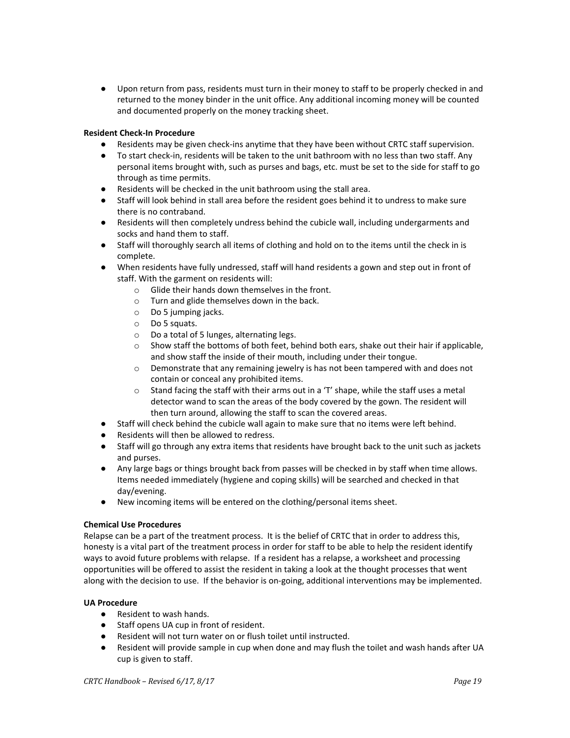**●** Upon return from pass, residents must turn in their money to staff to be properly checked in and returned to the money binder in the unit office. Any additional incoming money will be counted and documented properly on the money tracking sheet.

### **Resident Check-In Procedure**

- Residents may be given check-ins anytime that they have been without CRTC staff supervision.
- To start check-in, residents will be taken to the unit bathroom with no less than two staff. Any personal items brought with, such as purses and bags, etc. must be set to the side for staff to go through as time permits.
- Residents will be checked in the unit bathroom using the stall area.
- Staff will look behind in stall area before the resident goes behind it to undress to make sure there is no contraband.
- Residents will then completely undress behind the cubicle wall, including undergarments and socks and hand them to staff.
- Staff will thoroughly search all items of clothing and hold on to the items until the check in is complete.
- When residents have fully undressed, staff will hand residents a gown and step out in front of staff. With the garment on residents will:
	- o Glide their hands down themselves in the front.
	- o Turn and glide themselves down in the back.
	- o Do 5 jumping jacks.
	- o Do 5 squats.
	- o Do a total of 5 lunges, alternating legs.
	- $\circ$  Show staff the bottoms of both feet, behind both ears, shake out their hair if applicable, and show staff the inside of their mouth, including under their tongue.
	- $\circ$  Demonstrate that any remaining jewelry is has not been tampered with and does not contain or conceal any prohibited items.
	- $\circ$  Stand facing the staff with their arms out in a 'T' shape, while the staff uses a metal detector wand to scan the areas of the body covered by the gown. The resident will then turn around, allowing the staff to scan the covered areas.
- Staff will check behind the cubicle wall again to make sure that no items were left behind.
- Residents will then be allowed to redress.
- Staff will go through any extra items that residents have brought back to the unit such as jackets and purses.
- Any large bags or things brought back from passes will be checked in by staff when time allows. Items needed immediately (hygiene and coping skills) will be searched and checked in that day/evening.
- New incoming items will be entered on the clothing/personal items sheet.

### **Chemical Use Procedures**

Relapse can be a part of the treatment process. It is the belief of CRTC that in order to address this, honesty is a vital part of the treatment process in order for staff to be able to help the resident identify ways to avoid future problems with relapse. If a resident has a relapse, a worksheet and processing opportunities will be offered to assist the resident in taking a look at the thought processes that went along with the decision to use. If the behavior is on-going, additional interventions may be implemented.

### **UA Procedure**

- Resident to wash hands.
- Staff opens UA cup in front of resident.
- Resident will not turn water on or flush toilet until instructed.
- Resident will provide sample in cup when done and may flush the toilet and wash hands after UA cup is given to staff.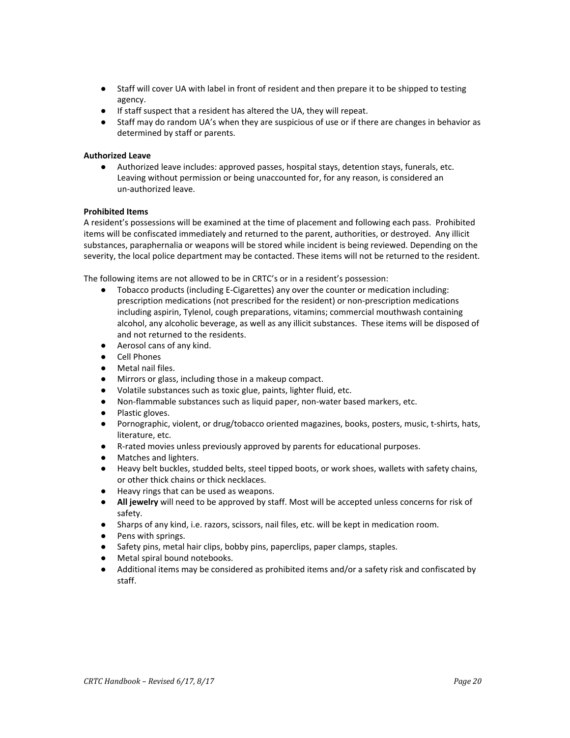- Staff will cover UA with label in front of resident and then prepare it to be shipped to testing agency.
- If staff suspect that a resident has altered the UA, they will repeat.
- Staff may do random UA's when they are suspicious of use or if there are changes in behavior as determined by staff or parents.

### **Authorized Leave**

● Authorized leave includes: approved passes, hospital stays, detention stays, funerals, etc. Leaving without permission or being unaccounted for, for any reason, is considered an un-authorized leave.

### **Prohibited Items**

A resident's possessions will be examined at the time of placement and following each pass. Prohibited items will be confiscated immediately and returned to the parent, authorities, or destroyed. Any illicit substances, paraphernalia or weapons will be stored while incident is being reviewed. Depending on the severity, the local police department may be contacted. These items will not be returned to the resident.

The following items are not allowed to be in CRTC's or in a resident's possession:

- Tobacco products (including E-Cigarettes) any over the counter or medication including: prescription medications (not prescribed for the resident) or non-prescription medications including aspirin, Tylenol, cough preparations, vitamins; commercial mouthwash containing alcohol, any alcoholic beverage, as well as any illicit substances. These items will be disposed of and not returned to the residents.
- Aerosol cans of any kind.
- Cell Phones
- Metal nail files.
- Mirrors or glass, including those in a makeup compact.
- Volatile substances such as toxic glue, paints, lighter fluid, etc.
- Non-flammable substances such as liquid paper, non-water based markers, etc.
- Plastic gloves.
- Pornographic, violent, or drug/tobacco oriented magazines, books, posters, music, t-shirts, hats, literature, etc.
- R-rated movies unless previously approved by parents for educational purposes.
- Matches and lighters.
- Heavy belt buckles, studded belts, steel tipped boots, or work shoes, wallets with safety chains, or other thick chains or thick necklaces.
- Heavy rings that can be used as weapons.
- **All jewelry** will need to be approved by staff. Most will be accepted unless concerns for risk of safety.
- Sharps of any kind, i.e. razors, scissors, nail files, etc. will be kept in medication room.
- Pens with springs.
- Safety pins, metal hair clips, bobby pins, paperclips, paper clamps, staples.
- Metal spiral bound notebooks.
- Additional items may be considered as prohibited items and/or a safety risk and confiscated by staff.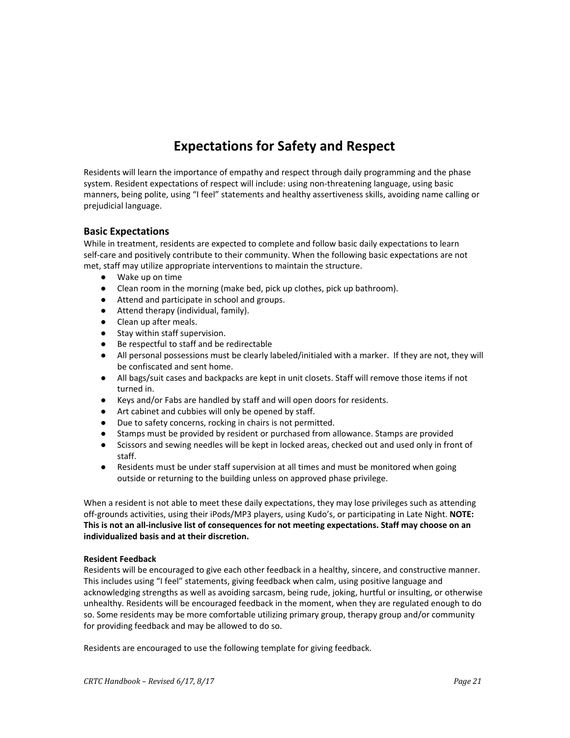# **Expectations for Safety and Respect**

Residents will learn the importance of empathy and respect through daily programming and the phase system. Resident expectations of respect will include: using non-threatening language, using basic manners, being polite, using "I feel" statements and healthy assertiveness skills, avoiding name calling or prejudicial language.

### **Basic Expectations**

While in treatment, residents are expected to complete and follow basic daily expectations to learn self-care and positively contribute to their community. When the following basic expectations are not met, staff may utilize appropriate interventions to maintain the structure.

- Wake up on time
- Clean room in the morning (make bed, pick up clothes, pick up bathroom).
- Attend and participate in school and groups.
- Attend therapy (individual, family).
- Clean up after meals.
- Stay within staff supervision.
- Be respectful to staff and be redirectable
- All personal possessions must be clearly labeled/initialed with a marker. If they are not, they will be confiscated and sent home.
- All bags/suit cases and backpacks are kept in unit closets. Staff will remove those items if not turned in.
- Keys and/or Fabs are handled by staff and will open doors for residents.
- Art cabinet and cubbies will only be opened by staff.
- Due to safety concerns, rocking in chairs is not permitted.
- Stamps must be provided by resident or purchased from allowance. Stamps are provided
- Scissors and sewing needles will be kept in locked areas, checked out and used only in front of staff.
- Residents must be under staff supervision at all times and must be monitored when going outside or returning to the building unless on approved phase privilege.

When a resident is not able to meet these daily expectations, they may lose privileges such as attending off-grounds activities, using their iPods/MP3 players, using Kudo's, or participating in Late Night. **NOTE: This is not an all-inclusive list of consequences for not meeting expectations. Staff may choose on an individualized basis and at their discretion.**

### **Resident Feedback**

Residents will be encouraged to give each other feedback in a healthy, sincere, and constructive manner. This includes using "I feel" statements, giving feedback when calm, using positive language and acknowledging strengths as well as avoiding sarcasm, being rude, joking, hurtful or insulting, or otherwise unhealthy. Residents will be encouraged feedback in the moment, when they are regulated enough to do so. Some residents may be more comfortable utilizing primary group, therapy group and/or community for providing feedback and may be allowed to do so.

Residents are encouraged to use the following template for giving feedback.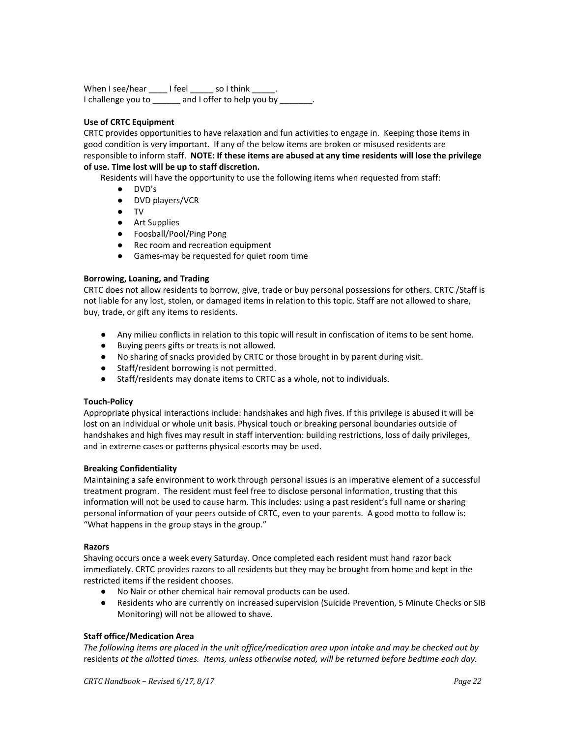When I see/hear \_\_\_\_\_ I feel \_\_\_\_\_\_ so I think \_\_ I challenge you to \_\_\_\_\_\_ and I offer to help you by \_\_\_\_\_\_

### **Use of CRTC Equipment**

CRTC provides opportunities to have relaxation and fun activities to engage in. Keeping those items in good condition is very important. If any of the below items are broken or misused residents are responsible to inform staff. **NOTE: If these items are abused at any time residents will lose the privilege of use. Time lost will be up to staff discretion.**

Residents will have the opportunity to use the following items when requested from staff:

- DVD's
- DVD players/VCR
- TV
- Art Supplies
- Foosball/Pool/Ping Pong
- Rec room and recreation equipment
- Games-may be requested for quiet room time

### **Borrowing, Loaning, and Trading**

CRTC does not allow residents to borrow, give, trade or buy personal possessions for others. CRTC /Staff is not liable for any lost, stolen, or damaged items in relation to this topic. Staff are not allowed to share, buy, trade, or gift any items to residents.

- Any milieu conflicts in relation to this topic will result in confiscation of items to be sent home.
- Buying peers gifts or treats is not allowed.
- No sharing of snacks provided by CRTC or those brought in by parent during visit.
- Staff/resident borrowing is not permitted.
- Staff/residents may donate items to CRTC as a whole, not to individuals.

### **Touch-Policy**

Appropriate physical interactions include: handshakes and high fives. If this privilege is abused it will be lost on an individual or whole unit basis. Physical touch or breaking personal boundaries outside of handshakes and high fives may result in staff intervention: building restrictions, loss of daily privileges, and in extreme cases or patterns physical escorts may be used.

### **Breaking Confidentiality**

Maintaining a safe environment to work through personal issues is an imperative element of a successful treatment program. The resident must feel free to disclose personal information, trusting that this information will not be used to cause harm. This includes: using a past resident's full name or sharing personal information of your peers outside of CRTC, even to your parents. A good motto to follow is: "What happens in the group stays in the group."

### **Razors**

Shaving occurs once a week every Saturday. Once completed each resident must hand razor back immediately. CRTC provides razors to all residents but they may be brought from home and kept in the restricted items if the resident chooses.

- No Nair or other chemical hair removal products can be used.
- Residents who are currently on increased supervision (Suicide Prevention, 5 Minute Checks or SIB Monitoring) will not be allowed to shave.

### **Staff office/Medication Area**

The following items are placed in the unit office/medication area upon intake and may be checked out by resident*s at the allotted times. Items, unless otherwise noted, will be returned before bedtime each day.*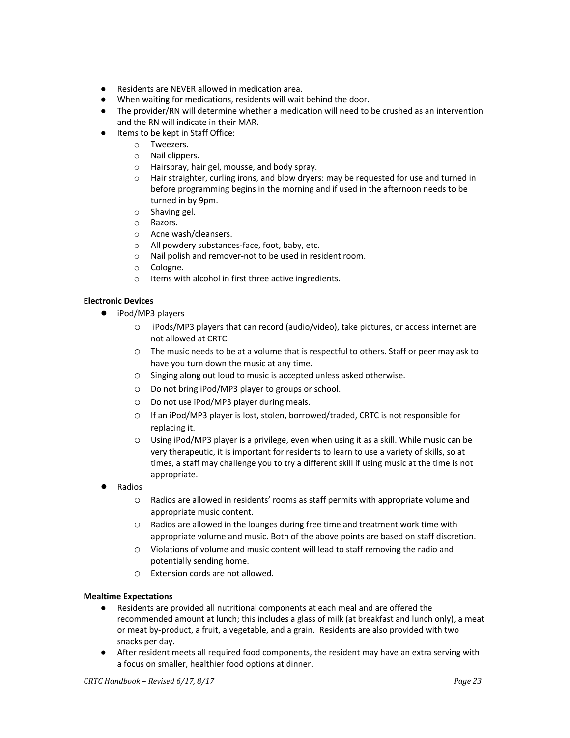- Residents are NEVER allowed in medication area.
- When waiting for medications, residents will wait behind the door.
- The provider/RN will determine whether a medication will need to be crushed as an intervention and the RN will indicate in their MAR.
- Items to be kept in Staff Office:
	- o Tweezers.
	- o Nail clippers.
	- o Hairspray, hair gel, mousse, and body spray.
	- o Hair straighter, curling irons, and blow dryers: may be requested for use and turned in before programming begins in the morning and if used in the afternoon needs to be turned in by 9pm.
	- o Shaving gel.
	- o Razors.
	- o Acne wash/cleansers.
	- o All powdery substances-face, foot, baby, etc.
	- o Nail polish and remover-not to be used in resident room.
	- o Cologne.
	- o Items with alcohol in first three active ingredients.

### **Electronic Devices**

- iPod/MP3 players
	- o iPods/MP3 players that can record (audio/video), take pictures, or access internet are not allowed at CRTC.
	- o The music needs to be at a volume that is respectful to others. Staff or peer may ask to have you turn down the music at any time.
	- o Singing along out loud to music is accepted unless asked otherwise.
	- o Do not bring iPod/MP3 player to groups or school.
	- o Do not use iPod/MP3 player during meals.
	- o If an iPod/MP3 player is lost, stolen, borrowed/traded, CRTC is not responsible for replacing it.
	- o Using iPod/MP3 player is a privilege, even when using it as a skill. While music can be very therapeutic, it is important for residents to learn to use a variety of skills, so at times, a staff may challenge you to try a different skill if using music at the time is not appropriate.
- **Radios** 
	- o Radios are allowed in residents' rooms as staff permits with appropriate volume and appropriate music content.
	- $\circ$  Radios are allowed in the lounges during free time and treatment work time with appropriate volume and music. Both of the above points are based on staff discretion.
	- o Violations of volume and music content will lead to staff removing the radio and potentially sending home.
	- o Extension cords are not allowed.

# **Mealtime Expectations**<br>**e Residents** are n

- Residents are provided all nutritional components at each meal and are offered the recommended amount at lunch; this includes a glass of milk (at breakfast and lunch only), a meat or meat by-product, a fruit, a vegetable, and a grain. Residents are also provided with two snacks per day.
- After resident meets all required food components, the resident may have an extra serving with a focus on smaller, healthier food options at dinner.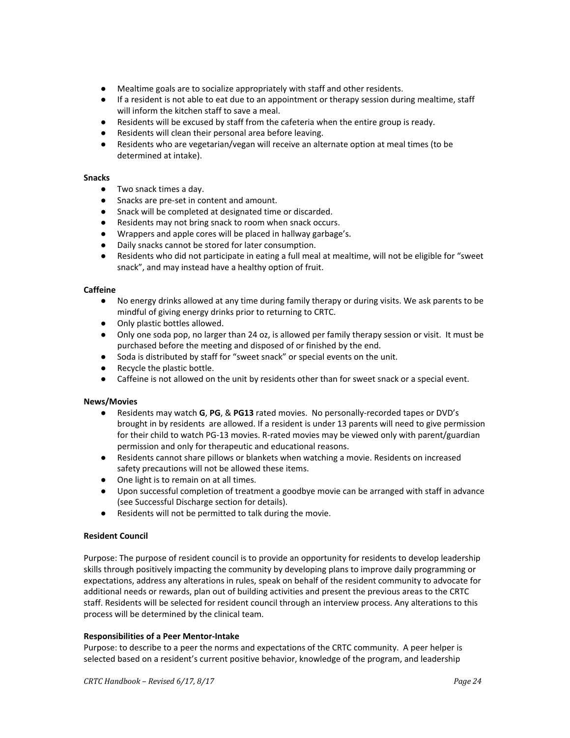- Mealtime goals are to socialize appropriately with staff and other residents.
- If a resident is not able to eat due to an appointment or therapy session during mealtime, staff will inform the kitchen staff to save a meal.
- Residents will be excused by staff from the cafeteria when the entire group is ready.
- Residents will clean their personal area before leaving.
- Residents who are vegetarian/vegan will receive an alternate option at meal times (to be determined at intake).

### **Snacks**

- Two snack times a day.
- Snacks are pre-set in content and amount.
- Snack will be completed at designated time or discarded.
- Residents may not bring snack to room when snack occurs.
- Wrappers and apple cores will be placed in hallway garbage's.
- Daily snacks cannot be stored for later consumption.
- Residents who did not participate in eating a full meal at mealtime, will not be eligible for "sweet snack", and may instead have a healthy option of fruit.

### **Caffeine**

- No energy drinks allowed at any time during family therapy or during visits. We ask parents to be mindful of giving energy drinks prior to returning to CRTC.
- Only plastic bottles allowed.
- Only one soda pop, no larger than 24 oz, is allowed per family therapy session or visit. It must be purchased before the meeting and disposed of or finished by the end.
- Soda is distributed by staff for "sweet snack" or special events on the unit.
- Recycle the plastic bottle.
- Caffeine is not allowed on the unit by residents other than for sweet snack or a special event.

### **News/Movies**

- Residents may watch **G**, **PG**, & **PG13** rated movies. No personally-recorded tapes or DVD's brought in by residents are allowed. If a resident is under 13 parents will need to give permission for their child to watch PG-13 movies. R-rated movies may be viewed only with parent/guardian permission and only for therapeutic and educational reasons.
- Residents cannot share pillows or blankets when watching a movie. Residents on increased safety precautions will not be allowed these items.
- One light is to remain on at all times.
- Upon successful completion of treatment a goodbye movie can be arranged with staff in advance (see Successful Discharge section for details).
- Residents will not be permitted to talk during the movie.

### **Resident Council**

Purpose: The purpose of resident council is to provide an opportunity for residents to develop leadership skills through positively impacting the community by developing plans to improve daily programming or expectations, address any alterations in rules, speak on behalf of the resident community to advocate for additional needs or rewards, plan out of building activities and present the previous areas to the CRTC staff. Residents will be selected for resident council through an interview process. Any alterations to this process will be determined by the clinical team.

### **Responsibilities of a Peer Mentor-Intake**

Purpose: to describe to a peer the norms and expectations of the CRTC community. A peer helper is selected based on a resident's current positive behavior, knowledge of the program, and leadership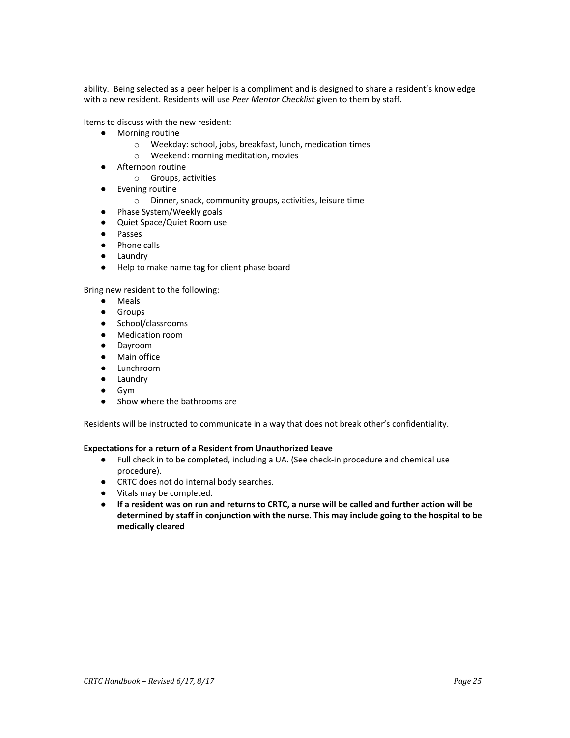ability. Being selected as a peer helper is a compliment and is designed to share a resident's knowledge with a new resident. Residents will use *Peer Mentor Checklist* given to them by staff.

Items to discuss with the new resident:

- Morning routine
	- o Weekday: school, jobs, breakfast, lunch, medication times
	- o Weekend: morning meditation, movies
- Afternoon routine
	- o Groups, activities
- Evening routine
	- o Dinner, snack, community groups, activities, leisure time
- Phase System/Weekly goals
- Quiet Space/Quiet Room use
- Passes
- Phone calls
- Laundry
- Help to make name tag for client phase board

### Bring new resident to the following:

- Meals
- Groups
- School/classrooms
- Medication room
- Dayroom
- Main office
- Lunchroom
- Laundry
- Gym
- Show where the bathrooms are

Residents will be instructed to communicate in a way that does not break other's confidentiality.

### **Expectations for a return of a Resident from Unauthorized Leave**

- Full check in to be completed, including a UA. (See check-in procedure and chemical use procedure).
- *●* CRTC does not do internal body searches.
- *●* Vitals may be completed.
- If a resident was on run and returns to CRTC, a nurse will be called and further action will be **determined by staff in conjunction with the nurse. This may include going to the hospital to be medically cleared**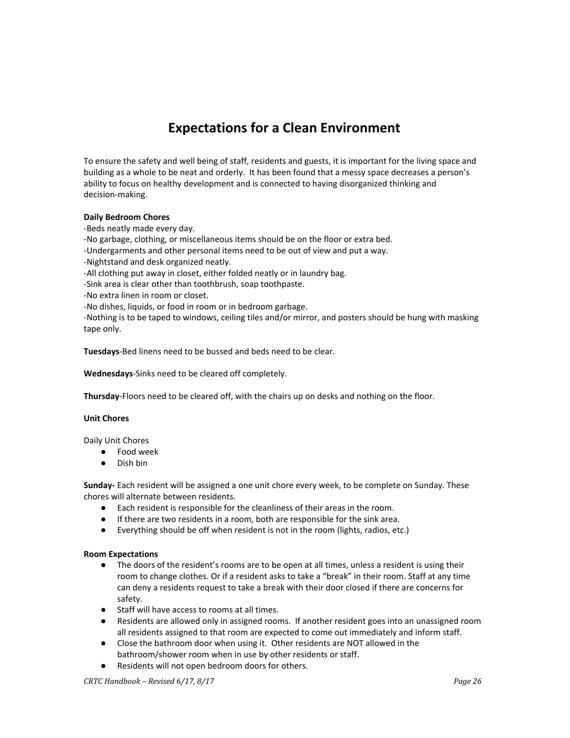# **Expectations for a Clean Environment**

To ensure the safety and well being of staff, residents and guests, it is important for the living space and building as a whole to be neat and orderly. It has been found that a messy space decreases a person's ability to focus on healthy development and is connected to having disorganized thinking and decision-making.

### **Daily Bedroom Chores**

-Beds neatly made every day.

-No garbage, clothing, or miscellaneous items should be on the floor or extra bed.

-Undergarments and other personal items need to be out of view and put a way.

- -Nightstand and desk organized neatly.
- -All clothing put away in closet, either folded neatly or in laundry bag.

-Sink area is clear other than toothbrush, soap toothpaste.

-No extra linen in room or closet.

-No dishes, liquids, or food in room or in bedroom garbage.

-Nothing is to be taped to windows, ceiling tiles and/or mirror, and posters should be hung with masking tape only.

**Tuesdays**-Bed linens need to be bussed and beds need to be clear.

**Wednesdays**-Sinks need to be cleared off completely.

**Thursday**-Floors need to be cleared off, with the chairs up on desks and nothing on the floor.

### **Unit Chores**

Daily Unit Chores

- Food week
- Dish bin

**Sunday-** Each resident will be assigned a one unit chore every week, to be complete on Sunday. These chores will alternate between residents.

- Each resident is responsible for the cleanliness of their areas in the room.
- If there are two residents in a room, both are responsible for the sink area.
- Everything should be off when resident is not in the room (lights, radios, etc.)

### **Room Expectations**

- The doors of the resident's rooms are to be open at all times, unless a resident is using their room to change clothes. Or if a resident asks to take a "break" in their room. Staff at any time can deny a residents request to take a break with their door closed if there are concerns for safety.
- Staff will have access to rooms at all times.
- Residents are allowed only in assigned rooms. If another resident goes into an unassigned room all residents assigned to that room are expected to come out immediately and inform staff.
- Close the bathroom door when using it. Other residents are NOT allowed in the bathroom/shower room when in use by other residents or staff.
- Residents will not open bedroom doors for others.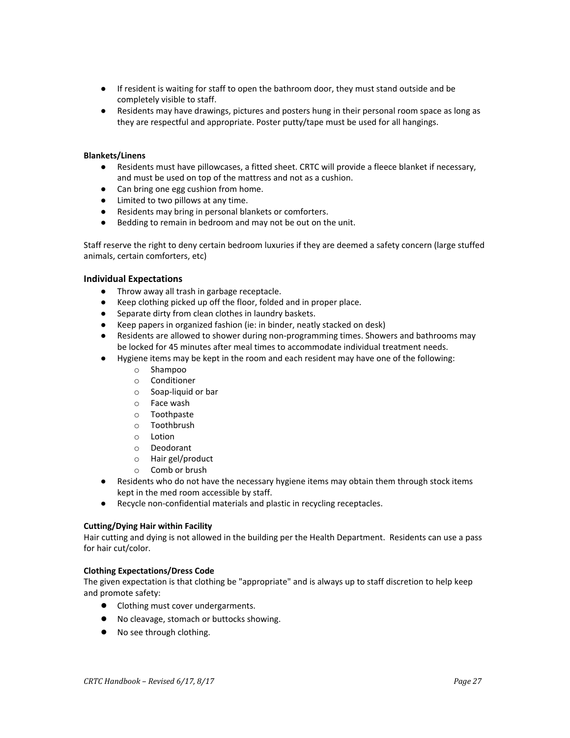- If resident is waiting for staff to open the bathroom door, they must stand outside and be completely visible to staff.
- Residents may have drawings, pictures and posters hung in their personal room space as long as they are respectful and appropriate. Poster putty/tape must be used for all hangings.

### **Blankets/Linens**

- Residents must have pillowcases, a fitted sheet. CRTC will provide a fleece blanket if necessary, and must be used on top of the mattress and not as a cushion.
- Can bring one egg cushion from home.
- Limited to two pillows at any time.
- Residents may bring in personal blankets or comforters.
- Bedding to remain in bedroom and may not be out on the unit.

Staff reserve the right to deny certain bedroom luxuries if they are deemed a safety concern (large stuffed animals, certain comforters, etc)

### **Individual Expectations**

- Throw away all trash in garbage receptacle.
- Keep clothing picked up off the floor, folded and in proper place.
- Separate dirty from clean clothes in laundry baskets.
- Keep papers in organized fashion (ie: in binder, neatly stacked on desk)
- Residents are allowed to shower during non-programming times. Showers and bathrooms may be locked for 45 minutes after meal times to accommodate individual treatment needs.
- Hygiene items may be kept in the room and each resident may have one of the following:
	- o Shampoo
	- o Conditioner
	- o Soap-liquid or bar
	- o Face wash
	- o Toothpaste
	- o Toothbrush
	- o Lotion
	- o Deodorant
	- o Hair gel/product
	- o Comb or brush
- Residents who do not have the necessary hygiene items may obtain them through stock items kept in the med room accessible by staff.
- Recycle non-confidential materials and plastic in recycling receptacles.

### **Cutting/Dying Hair within Facility**

Hair cutting and dying is not allowed in the building per the Health Department. Residents can use a pass for hair cut/color.

### **Clothing Expectations/Dress Code**

The given expectation is that clothing be "appropriate" and is always up to staff discretion to help keep and promote safety:

- Clothing must cover undergarments.
- No cleavage, stomach or buttocks showing.
- No see through clothing.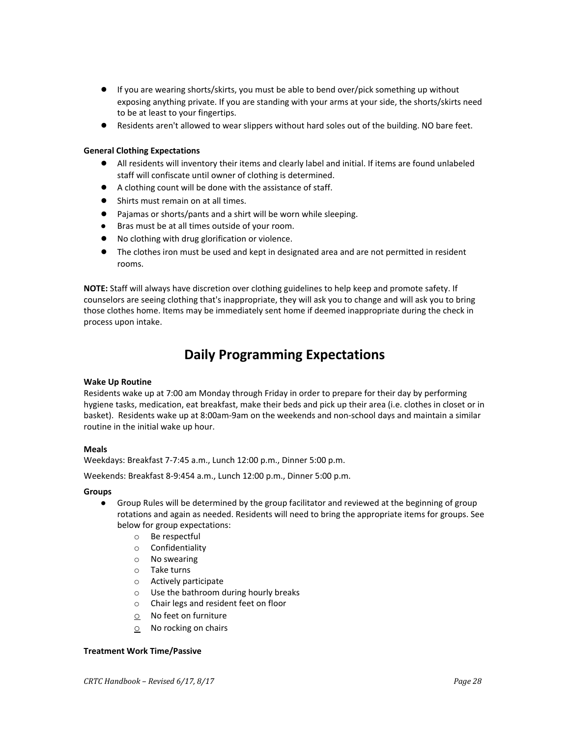- If you are wearing shorts/skirts, you must be able to bend over/pick something up without exposing anything private. If you are standing with your arms at your side, the shorts/skirts need to be at least to your fingertips.
- Residents aren't allowed to wear slippers without hard soles out of the building. NO bare feet.

### **General Clothing Expectations**

- All residents will inventory their items and clearly label and initial. If items are found unlabeled staff will confiscate until owner of clothing is determined.
- A clothing count will be done with the assistance of staff.
- Shirts must remain on at all times.
- Pajamas or shorts/pants and a shirt will be worn while sleeping.
- Bras must be at all times outside of your room.
- No clothing with drug glorification or violence.
- The clothes iron must be used and kept in designated area and are not permitted in resident rooms.

**NOTE:** Staff will always have discretion over clothing guidelines to help keep and promote safety. If counselors are seeing clothing that's inappropriate, they will ask you to change and will ask you to bring those clothes home. Items may be immediately sent home if deemed inappropriate during the check in process upon intake.

# **Daily Programming Expectations**

### **Wake Up Routine**

Residents wake up at 7:00 am Monday through Friday in order to prepare for their day by performing hygiene tasks, medication, eat breakfast, make their beds and pick up their area (i.e. clothes in closet or in basket). Residents wake up at 8:00am-9am on the weekends and non-school days and maintain a similar routine in the initial wake up hour.

### **Meals**

Weekdays: Breakfast 7-7:45 a.m., Lunch 12:00 p.m., Dinner 5:00 p.m.

Weekends: Breakfast 8-9:454 a.m., Lunch 12:00 p.m., Dinner 5:00 p.m.

### **Groups**

- Group Rules will be determined by the group facilitator and reviewed at the beginning of group rotations and again as needed. Residents will need to bring the appropriate items for groups. See below for group expectations:
	- o Be respectful
	- o Confidentiality
	- o No swearing
	- o Take turns
	- o Actively participate
	- o Use the bathroom during hourly breaks
	- o Chair legs and resident feet on floor
	- $\circ$  No feet on furniture
	- $\circ$  No rocking on chairs

### **Treatment Work Time/Passive**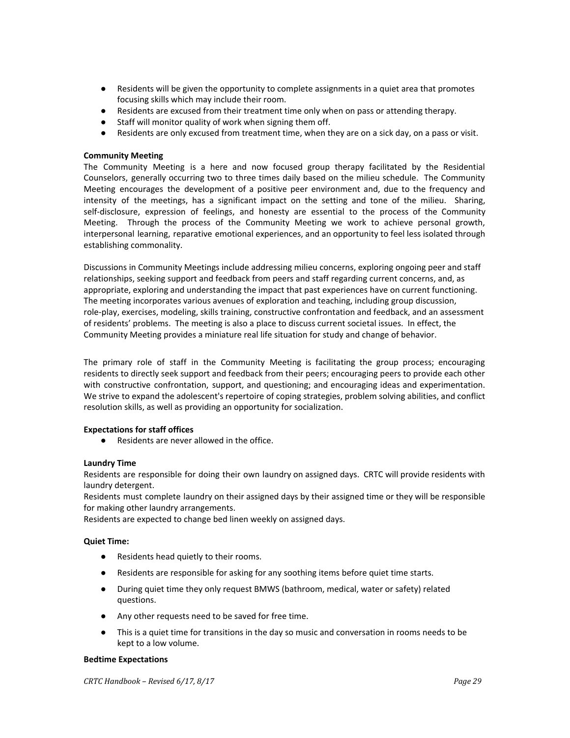- Residents will be given the opportunity to complete assignments in a quiet area that promotes focusing skills which may include their room.
- Residents are excused from their treatment time only when on pass or attending therapy.
- Staff will monitor quality of work when signing them off.
- Residents are only excused from treatment time, when they are on a sick day, on a pass or visit.

### **Community Meeting**

The Community Meeting is a here and now focused group therapy facilitated by the Residential Counselors, generally occurring two to three times daily based on the milieu schedule. The Community Meeting encourages the development of a positive peer environment and, due to the frequency and intensity of the meetings, has a significant impact on the setting and tone of the milieu. Sharing, self-disclosure, expression of feelings, and honesty are essential to the process of the Community Meeting. Through the process of the Community Meeting we work to achieve personal growth, interpersonal learning, reparative emotional experiences, and an opportunity to feel less isolated through establishing commonality.

Discussions in Community Meetings include addressing milieu concerns, exploring ongoing peer and staff relationships, seeking support and feedback from peers and staff regarding current concerns, and, as appropriate, exploring and understanding the impact that past experiences have on current functioning. The meeting incorporates various avenues of exploration and teaching, including group discussion, role-play, exercises, modeling, skills training, constructive confrontation and feedback, and an assessment of residents' problems. The meeting is also a place to discuss current societal issues. In effect, the Community Meeting provides a miniature real life situation for study and change of behavior.

The primary role of staff in the Community Meeting is facilitating the group process; encouraging residents to directly seek support and feedback from their peers; encouraging peers to provide each other with constructive confrontation, support, and questioning; and encouraging ideas and experimentation. We strive to expand the adolescent's repertoire of coping strategies, problem solving abilities, and conflict resolution skills, as well as providing an opportunity for socialization.

### **Expectations for staff offices**

● Residents are never allowed in the office.

### **Laundry Time**

Residents are responsible for doing their own laundry on assigned days. CRTC will provide residents with laundry detergent.

Residents must complete laundry on their assigned days by their assigned time or they will be responsible for making other laundry arrangements.

Residents are expected to change bed linen weekly on assigned days.

### **Quiet Time:**

- Residents head quietly to their rooms.
- Residents are responsible for asking for any soothing items before quiet time starts.
- During quiet time they only request BMWS (bathroom, medical, water or safety) related questions.
- Any other requests need to be saved for free time.
- This is a quiet time for transitions in the day so music and conversation in rooms needs to be kept to a low volume.

### **Bedtime Expectations**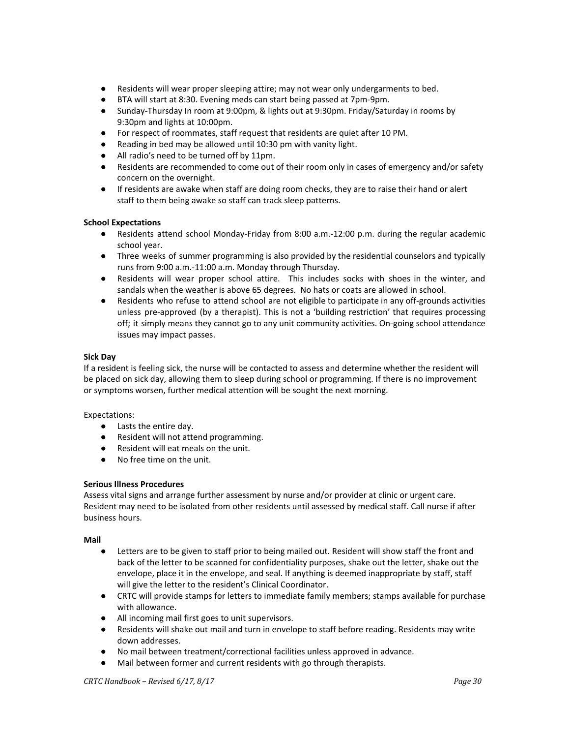- Residents will wear proper sleeping attire; may not wear only undergarments to bed.
- BTA will start at 8:30. Evening meds can start being passed at 7pm-9pm.
- Sunday-Thursday In room at 9:00pm, & lights out at 9:30pm. Friday/Saturday in rooms by 9:30pm and lights at 10:00pm.
- For respect of roommates, staff request that residents are quiet after 10 PM.
- Reading in bed may be allowed until 10:30 pm with vanity light.
- All radio's need to be turned off by 11pm.
- Residents are recommended to come out of their room only in cases of emergency and/or safety concern on the overnight.
- If residents are awake when staff are doing room checks, they are to raise their hand or alert staff to them being awake so staff can track sleep patterns.

### **School Expectations**

- Residents attend school Monday-Friday from 8:00 a.m.-12:00 p.m. during the regular academic school year.
- Three weeks of summer programming is also provided by the residential counselors and typically runs from 9:00 a.m.-11:00 a.m. Monday through Thursday.
- Residents will wear proper school attire. This includes socks with shoes in the winter, and sandals when the weather is above 65 degrees. No hats or coats are allowed in school.
- Residents who refuse to attend school are not eligible to participate in any off-grounds activities unless pre-approved (by a therapist). This is not a 'building restriction' that requires processing off; it simply means they cannot go to any unit community activities. On-going school attendance issues may impact passes.

### **Sick Day**

If a resident is feeling sick, the nurse will be contacted to assess and determine whether the resident will be placed on sick day, allowing them to sleep during school or programming. If there is no improvement or symptoms worsen, further medical attention will be sought the next morning.

### Expectations:

- Lasts the entire day.
- Resident will not attend programming.
- Resident will eat meals on the unit.
- No free time on the unit.

### **Serious Illness Procedures**

Assess vital signs and arrange further assessment by nurse and/or provider at clinic or urgent care. Resident may need to be isolated from other residents until assessed by medical staff. Call nurse if after business hours.

### **Mail**

- Letters are to be given to staff prior to being mailed out. Resident will show staff the front and back of the letter to be scanned for confidentiality purposes, shake out the letter, shake out the envelope, place it in the envelope, and seal. If anything is deemed inappropriate by staff, staff will give the letter to the resident's Clinical Coordinator.
- CRTC will provide stamps for letters to immediate family members; stamps available for purchase with allowance.
- All incoming mail first goes to unit supervisors.
- Residents will shake out mail and turn in envelope to staff before reading. Residents may write down addresses.
- No mail between treatment/correctional facilities unless approved in advance.
- Mail between former and current residents with go through therapists.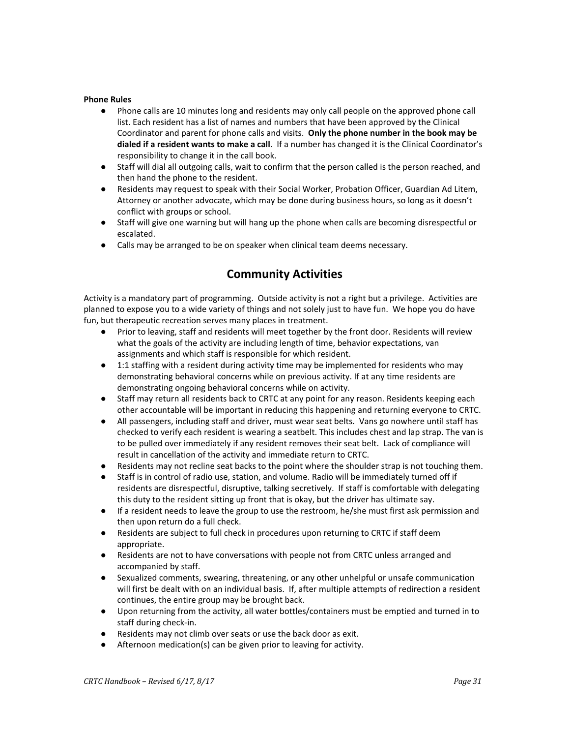# **Phone Rules**<br>**Phone**

- Phone calls are 10 minutes long and residents may only call people on the approved phone call list. Each resident has a list of names and numbers that have been approved by the Clinical Coordinator and parent for phone calls and visits. **Only the phone number in the book may be dialed if a resident wants to make a call**. If a number has changed it is the Clinical Coordinator's responsibility to change it in the call book.
- Staff will dial all outgoing calls, wait to confirm that the person called is the person reached, and then hand the phone to the resident.
- Residents may request to speak with their Social Worker, Probation Officer, Guardian Ad Litem, Attorney or another advocate, which may be done during business hours, so long as it doesn't conflict with groups or school.
- Staff will give one warning but will hang up the phone when calls are becoming disrespectful or escalated.
- *●* Calls may be arranged to be on speaker when clinical team deems necessary.

### **Community Activities**

Activity is a mandatory part of programming. Outside activity is not a right but a privilege. Activities are planned to expose you to a wide variety of things and not solely just to have fun. We hope you do have fun, but therapeutic recreation serves many places in treatment.

- Prior to leaving, staff and residents will meet together by the front door. Residents will review what the goals of the activity are including length of time, behavior expectations, van assignments and which staff is responsible for which resident.
- 1:1 staffing with a resident during activity time may be implemented for residents who may demonstrating behavioral concerns while on previous activity. If at any time residents are demonstrating ongoing behavioral concerns while on activity.
- Staff may return all residents back to CRTC at any point for any reason. Residents keeping each other accountable will be important in reducing this happening and returning everyone to CRTC.
- All passengers, including staff and driver, must wear seat belts. Vans go nowhere until staff has checked to verify each resident is wearing a seatbelt. This includes chest and lap strap. The van is to be pulled over immediately if any resident removes their seat belt. Lack of compliance will result in cancellation of the activity and immediate return to CRTC.
- Residents may not recline seat backs to the point where the shoulder strap is not touching them.
- Staff is in control of radio use, station, and volume. Radio will be immediately turned off if residents are disrespectful, disruptive, talking secretively. If staff is comfortable with delegating this duty to the resident sitting up front that is okay, but the driver has ultimate say.
- If a resident needs to leave the group to use the restroom, he/she must first ask permission and then upon return do a full check.
- Residents are subject to full check in procedures upon returning to CRTC if staff deem appropriate.
- Residents are not to have conversations with people not from CRTC unless arranged and accompanied by staff.
- Sexualized comments, swearing, threatening, or any other unhelpful or unsafe communication will first be dealt with on an individual basis. If, after multiple attempts of redirection a resident continues, the entire group may be brought back.
- Upon returning from the activity, all water bottles/containers must be emptied and turned in to staff during check-in.
- Residents may not climb over seats or use the back door as exit.
- Afternoon medication(s) can be given prior to leaving for activity.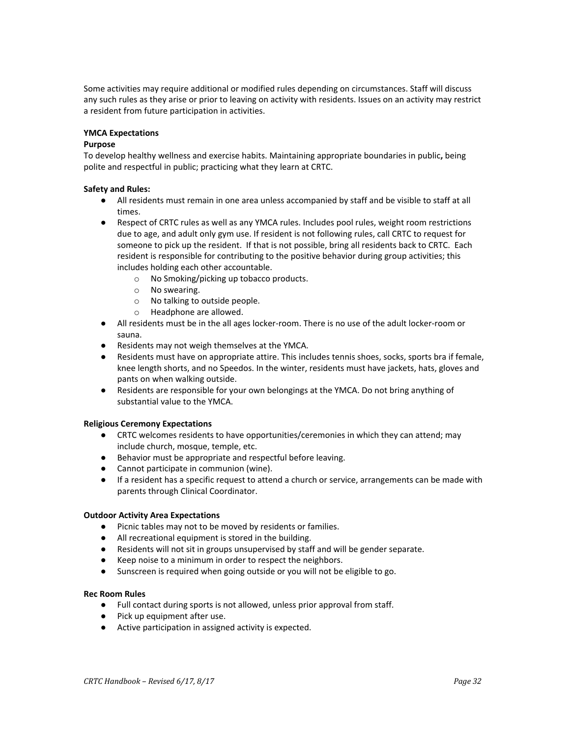Some activities may require additional or modified rules depending on circumstances. Staff will discuss any such rules as they arise or prior to leaving on activity with residents. Issues on an activity may restrict a resident from future participation in activities.

### **YMCA Expectations**

### **Purpose**

To develop healthy wellness and exercise habits. Maintaining appropriate boundaries in public**,** being polite and respectful in public; practicing what they learn at CRTC.

### **Safety and Rules:**

- All residents must remain in one area unless accompanied by staff and be visible to staff at all times.
- Respect of CRTC rules as well as any YMCA rules. Includes pool rules, weight room restrictions due to age, and adult only gym use. If resident is not following rules, call CRTC to request for someone to pick up the resident. If that is not possible, bring all residents back to CRTC. Each resident is responsible for contributing to the positive behavior during group activities; this includes holding each other accountable.
	- o No Smoking/picking up tobacco products.
	- o No swearing.
	- o No talking to outside people.
	- o Headphone are allowed.
- All residents must be in the all ages locker-room. There is no use of the adult locker-room or sauna.
- Residents may not weigh themselves at the YMCA.
- **●** Residents must have on appropriate attire. This includes tennis shoes, socks, sports bra if female, knee length shorts, and no Speedos. In the winter, residents must have jackets, hats, gloves and pants on when walking outside.
- **●** Residents are responsible for your own belongings at the YMCA. Do not bring anything of substantial value to the YMCA.

### **Religious Ceremony Expectations**

- CRTC welcomes residents to have opportunities/ceremonies in which they can attend; may include church, mosque, temple, etc.
- Behavior must be appropriate and respectful before leaving.
- Cannot participate in communion (wine).
- If a resident has a specific request to attend a church or service, arrangements can be made with parents through Clinical Coordinator.

### **Outdoor Activity Area Expectations**

- Picnic tables may not to be moved by residents or families.
- All recreational equipment is stored in the building.
- Residents will not sit in groups unsupervised by staff and will be gender separate.
- Keep noise to a minimum in order to respect the neighbors.
- *●* Sunscreen is required when going outside or you will not be eligible to go.

### **Rec Room Rules**

- Full contact during sports is not allowed, unless prior approval from staff.
- Pick up equipment after use.
- Active participation in assigned activity is expected.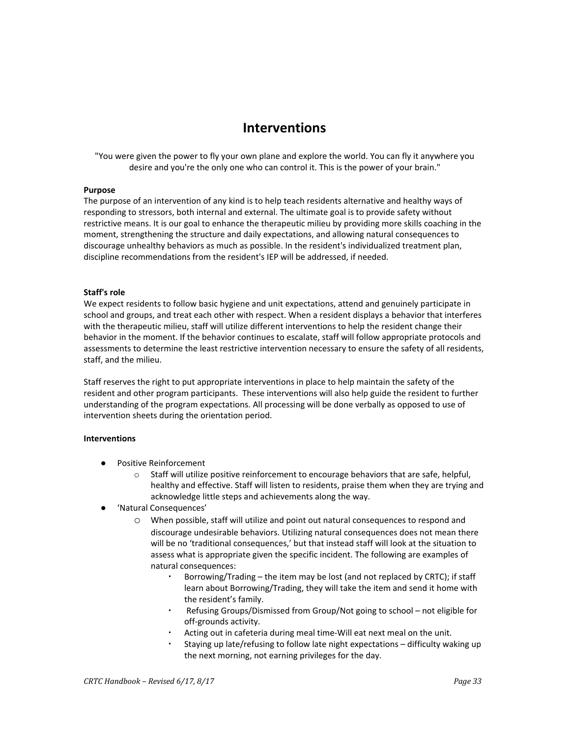### **Interventions**

"You were given the power to fly your own plane and explore the world. You can fly it anywhere you desire and you're the only one who can control it. This is the power of your brain."

### **Purpose**

The purpose of an intervention of any kind is to help teach residents alternative and healthy ways of responding to stressors, both internal and external. The ultimate goal is to provide safety without restrictive means. It is our goal to enhance the therapeutic milieu by providing more skills coaching in the moment, strengthening the structure and daily expectations, and allowing natural consequences to discourage unhealthy behaviors as much as possible. In the resident's individualized treatment plan, discipline recommendations from the resident's IEP will be addressed, if needed.

### **Staff's role**

We expect residents to follow basic hygiene and unit expectations, attend and genuinely participate in school and groups, and treat each other with respect. When a resident displays a behavior that interferes with the therapeutic milieu, staff will utilize different interventions to help the resident change their behavior in the moment. If the behavior continues to escalate, staff will follow appropriate protocols and assessments to determine the least restrictive intervention necessary to ensure the safety of all residents, staff, and the milieu.

Staff reserves the right to put appropriate interventions in place to help maintain the safety of the resident and other program participants. These interventions will also help guide the resident to further understanding of the program expectations. All processing will be done verbally as opposed to use of intervention sheets during the orientation period.

### **Interventions**

- Positive Reinforcement
	- $\circ$  Staff will utilize positive reinforcement to encourage behaviors that are safe, helpful, healthy and effective. Staff will listen to residents, praise them when they are trying and acknowledge little steps and achievements along the way.
- 'Natural Consequences'
	- o When possible, staff will utilize and point out natural consequences to respond and discourage undesirable behaviors. Utilizing natural consequences does not mean there will be no 'traditional consequences,' but that instead staff will look at the situation to assess what is appropriate given the specific incident. The following are examples of natural consequences:
		- Borrowing/Trading the item may be lost (and not replaced by CRTC); if staff learn about Borrowing/Trading, they will take the item and send it home with the resident's family.
		- Refusing Groups/Dismissed from Group/Not going to school not eligible for off-grounds activity.
		- Acting out in cafeteria during meal time-Will eat next meal on the unit.
		- Staying up late/refusing to follow late night expectations  $-$  difficulty waking up the next morning, not earning privileges for the day.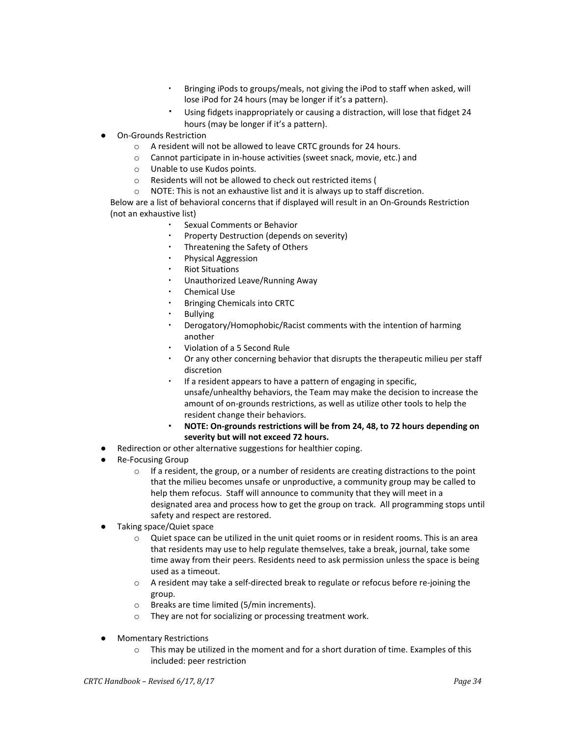- Bringing iPods to groups/meals, not giving the iPod to staff when asked, will lose iPod for 24 hours (may be longer if it's a pattern).
- Using fidgets inappropriately or causing a distraction, will lose that fidget 24 hours (may be longer if it's a pattern).
- **On-Grounds Restriction** 
	- o A resident will not be allowed to leave CRTC grounds for 24 hours.
	- o Cannot participate in in-house activities (sweet snack, movie, etc.) and
	- o Unable to use Kudos points.
	- o Residents will not be allowed to check out restricted items (
	- o NOTE: This is not an exhaustive list and it is always up to staff discretion.

Below are a list of behavioral concerns that if displayed will result in an On-Grounds Restriction (not an exhaustive list)

- Sexual Comments or Behavior
- Property Destruction (depends on severity)
- Threatening the Safety of Others
- Physical Aggression
- **Riot Situations**
- Unauthorized Leave/Running Away
- Chemical Use
- Bringing Chemicals into CRTC
- **Bullving**
- Derogatory/Homophobic/Racist comments with the intention of harming another
- Violation of a 5 Second Rule
- Or any other concerning behavior that disrupts the therapeutic milieu per staff discretion
- If a resident appears to have a pattern of engaging in specific, unsafe/unhealthy behaviors, the Team may make the decision to increase the amount of on-grounds restrictions, as well as utilize other tools to help the resident change their behaviors.
- **NOTE: On-grounds restrictions will be from 24, 48, to 72 hours depending on severity but will not exceed 72 hours.**
- Redirection or other alternative suggestions for healthier coping.
- **Re-Focusing Group** 
	- $\circ$  If a resident, the group, or a number of residents are creating distractions to the point that the milieu becomes unsafe or unproductive, a community group may be called to help them refocus. Staff will announce to community that they will meet in a designated area and process how to get the group on track. All programming stops until safety and respect are restored.
- Taking space/Quiet space
	- o Quiet space can be utilized in the unit quiet rooms or in resident rooms. This is an area that residents may use to help regulate themselves, take a break, journal, take some time away from their peers. Residents need to ask permission unless the space is being used as a timeout.
	- $\circ$  A resident may take a self-directed break to regulate or refocus before re-joining the group.
	- o Breaks are time limited (5/min increments).
	- o They are not for socializing or processing treatment work.
- **Momentary Restrictions** 
	- $\circ$  This may be utilized in the moment and for a short duration of time. Examples of this included: peer restriction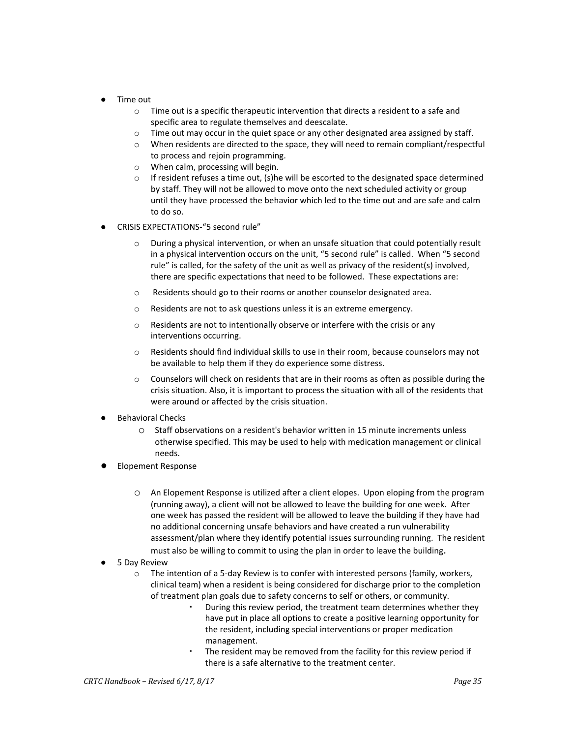- Time out
	- $\circ$  Time out is a specific therapeutic intervention that directs a resident to a safe and specific area to regulate themselves and deescalate.
	- $\circ$  Time out may occur in the quiet space or any other designated area assigned by staff.
	- $\circ$  When residents are directed to the space, they will need to remain compliant/respectful to process and rejoin programming.
	- o When calm, processing will begin.
	- $\circ$  If resident refuses a time out, (s)he will be escorted to the designated space determined by staff. They will not be allowed to move onto the next scheduled activity or group until they have processed the behavior which led to the time out and are safe and calm to do so.
- CRISIS EXPECTATIONS-"5 second rule"
	- During a physical intervention, or when an unsafe situation that could potentially result in a physical intervention occurs on the unit, "5 second rule" is called. When "5 second rule" is called, for the safety of the unit as well as privacy of the resident(s) involved, there are specific expectations that need to be followed. These expectations are:
	- o Residents should go to their rooms or another counselor designated area.
	- o Residents are not to ask questions unless it is an extreme emergency.
	- o Residents are not to intentionally observe or interfere with the crisis or any interventions occurring.
	- o Residents should find individual skills to use in their room, because counselors may not be available to help them if they do experience some distress.
	- $\circ$  Counselors will check on residents that are in their rooms as often as possible during the crisis situation. Also, it is important to process the situation with all of the residents that were around or affected by the crisis situation.
- **Behavioral Checks** 
	- o Staff observations on a resident's behavior written in 15 minute increments unless otherwise specified. This may be used to help with medication management or clinical needs.
- **Elopement Response** 
	- o An Elopement Response is utilized after a client elopes. Upon eloping from the program (running away), a client will not be allowed to leave the building for one week. After one week has passed the resident will be allowed to leave the building if they have had no additional concerning unsafe behaviors and have created a run vulnerability assessment/plan where they identify potential issues surrounding running. The resident must also be willing to commit to using the plan in order to leave the building.
- 5 Day Review
	- $\circ$  The intention of a 5-day Review is to confer with interested persons (family, workers, clinical team) when a resident is being considered for discharge prior to the completion of treatment plan goals due to safety concerns to self or others, or community.
		- During this review period, the treatment team determines whether they have put in place all options to create a positive learning opportunity for the resident, including special interventions or proper medication management.
		- The resident may be removed from the facility for this review period if there is a safe alternative to the treatment center.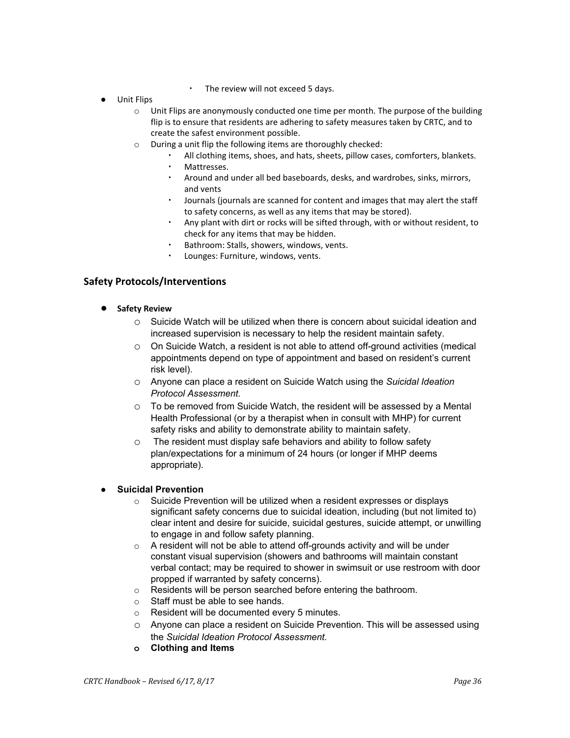- The review will not exceed 5 days.
- Unit Flips
	- $\circ$  Unit Flips are anonymously conducted one time per month. The purpose of the building flip is to ensure that residents are adhering to safety measures taken by CRTC, and to create the safest environment possible.
	- o During a unit flip the following items are thoroughly checked:
		- All clothing items, shoes, and hats, sheets, pillow cases, comforters, blankets.
		- Mattresses.
		- Around and under all bed baseboards, desks, and wardrobes, sinks, mirrors, and vents
		- Journals (journals are scanned for content and images that may alert the staff to safety concerns, as well as any items that may be stored).
		- Any plant with dirt or rocks will be sifted through, with or without resident, to check for any items that may be hidden.
		- Bathroom: Stalls, showers, windows, vents.
		- Lounges: Furniture, windows, vents.

### **Safety Protocols/Interventions**

- **● Safety Review**
	- $\circ$  Suicide Watch will be utilized when there is concern about suicidal ideation and increased supervision is necessary to help the resident maintain safety.
	- $\circ$  On Suicide Watch, a resident is not able to attend off-ground activities (medical appointments depend on type of appointment and based on resident's current risk level).
	- o Anyone can place a resident on Suicide Watch using the *Suicidal Ideation Protocol Assessment.*
	- $\circ$  To be removed from Suicide Watch, the resident will be assessed by a Mental Health Professional (or by a therapist when in consult with MHP) for current safety risks and ability to demonstrate ability to maintain safety.
	- o The resident must display safe behaviors and ability to follow safety plan/expectations for a minimum of 24 hours (or longer if MHP deems appropriate).

# **Suicidal Prevention**<br> **Suicide Prevention**

- Suicide Prevention will be utilized when a resident expresses or displays significant safety concerns due to suicidal ideation, including (but not limited to) clear intent and desire for suicide, suicidal gestures, suicide attempt, or unwilling to engage in and follow safety planning.
- $\circ$  A resident will not be able to attend off-grounds activity and will be under constant visual supervision (showers and bathrooms will maintain constant verbal contact; may be required to shower in swimsuit or use restroom with door propped if warranted by safety concerns).
- o Residents will be person searched before entering the bathroom.
- o Staff must be able to see hands.
- o Resident will be documented every 5 minutes.
- o Anyone can place a resident on Suicide Prevention. This will be assessed using the *Suicidal Ideation Protocol Assessment.*
- **o Clothing and Items**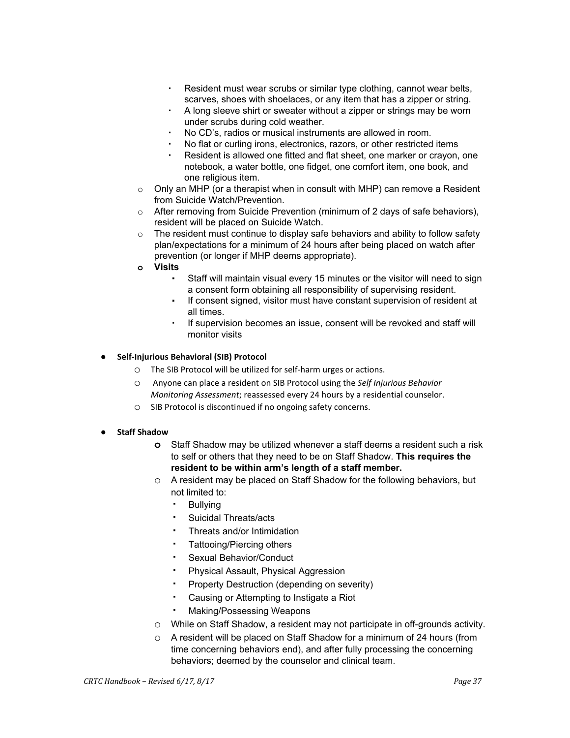- Resident must wear scrubs or similar type clothing, cannot wear belts, scarves, shoes with shoelaces, or any item that has a zipper or string.
- A long sleeve shirt or sweater without a zipper or strings may be worn under scrubs during cold weather.
- No CD's, radios or musical instruments are allowed in room.
- No flat or curling irons, electronics, razors, or other restricted items
- Resident is allowed one fitted and flat sheet, one marker or crayon, one notebook, a water bottle, one fidget, one comfort item, one book, and one religious item.
- $\circ$  Only an MHP (or a therapist when in consult with MHP) can remove a Resident from Suicide Watch/Prevention.
- o After removing from Suicide Prevention (minimum of 2 days of safe behaviors), resident will be placed on Suicide Watch.
- $\circ$  The resident must continue to display safe behaviors and ability to follow safety plan/expectations for a minimum of 24 hours after being placed on watch after prevention (or longer if MHP deems appropriate).
- **o Visits**
	- Staff will maintain visual every 15 minutes or the visitor will need to sign a consent form obtaining all responsibility of supervising resident.
	- If consent signed, visitor must have constant supervision of resident at all times.
	- If supervision becomes an issue, consent will be revoked and staff will monitor visits
- **● Self-Injurious Behavioral (SIB) Protocol**
	- o The SIB Protocol will be utilized for self-harm urges or actions.
	- o Anyone can place a resident on SIB Protocol using the *Self Injurious Behavior Monitoring Assessment*; reassessed every 24 hours by a residential counselor.
	- o SIB Protocol is discontinued if no ongoing safety concerns.
- **● Staff Shadow**
	- **o** Staff Shadow may be utilized whenever a staff deems a resident such a risk to self or others that they need to be on Staff Shadow. **This requires the resident to be within arm's length of a staff member.**
	- o A resident may be placed on Staff Shadow for the following behaviors, but not limited to:
		- **Bullving**
		- Suicidal Threats/acts
		- Threats and/or Intimidation
		- Tattooing/Piercing others
		- Sexual Behavior/Conduct
		- Physical Assault, Physical Aggression
		- Property Destruction (depending on severity)
		- Causing or Attempting to Instigate a Riot
		- **Making/Possessing Weapons**
	- o While on Staff Shadow, a resident may not participate in off-grounds activity.
	- o A resident will be placed on Staff Shadow for a minimum of 24 hours (from time concerning behaviors end), and after fully processing the concerning behaviors; deemed by the counselor and clinical team.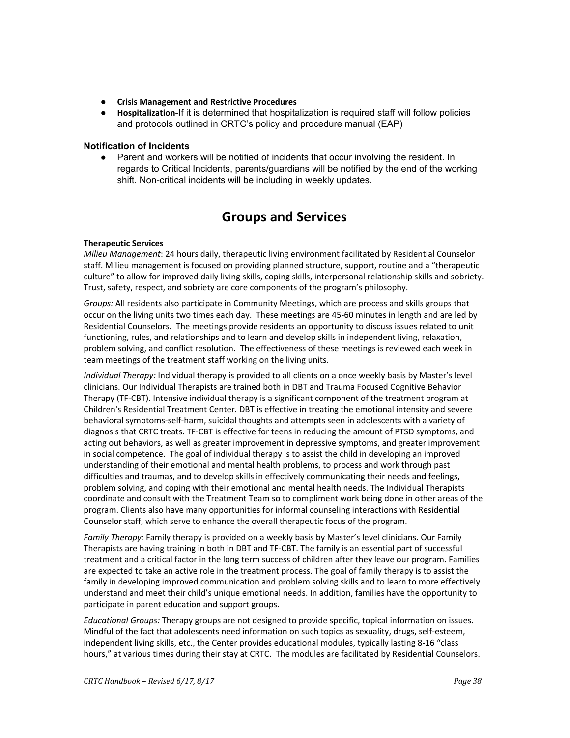- **● Crisis Management and Restrictive Procedures**
- **Hospitalization**-If it is determined that hospitalization is required staff will follow policies and protocols outlined in CRTC's policy and procedure manual (EAP)

### **Notification of Incidents**

• Parent and workers will be notified of incidents that occur involving the resident. In regards to Critical Incidents, parents/guardians will be notified by the end of the working shift. Non-critical incidents will be including in weekly updates.

### **Groups and Services**

### **Therapeutic Services**

*Milieu Management*: 24 hours daily, therapeutic living environment facilitated by Residential Counselor staff. Milieu management is focused on providing planned structure, support, routine and a "therapeutic culture" to allow for improved daily living skills, coping skills, interpersonal relationship skills and sobriety. Trust, safety, respect, and sobriety are core components of the program's philosophy.

*Groups:* All residents also participate in Community Meetings, which are process and skills groups that occur on the living units two times each day. These meetings are 45-60 minutes in length and are led by Residential Counselors. The meetings provide residents an opportunity to discuss issues related to unit functioning, rules, and relationships and to learn and develop skills in independent living, relaxation, problem solving, and conflict resolution. The effectiveness of these meetings is reviewed each week in team meetings of the treatment staff working on the living units.

*Individual Therapy:* Individual therapy is provided to all clients on a once weekly basis by Master's level clinicians. Our Individual Therapists are trained both in DBT and Trauma Focused Cognitive Behavior Therapy (TF-CBT). Intensive individual therapy is a significant component of the treatment program at Children's Residential Treatment Center. DBT is effective in treating the emotional intensity and severe behavioral symptoms-self-harm, suicidal thoughts and attempts seen in adolescents with a variety of diagnosis that CRTC treats. TF-CBT is effective for teens in reducing the amount of PTSD symptoms, and acting out behaviors, as well as greater improvement in depressive symptoms, and greater improvement in social competence. The goal of individual therapy is to assist the child in developing an improved understanding of their emotional and mental health problems, to process and work through past difficulties and traumas, and to develop skills in effectively communicating their needs and feelings, problem solving, and coping with their emotional and mental health needs. The Individual Therapists coordinate and consult with the Treatment Team so to compliment work being done in other areas of the program. Clients also have many opportunities for informal counseling interactions with Residential Counselor staff, which serve to enhance the overall therapeutic focus of the program.

*Family Therapy:* Family therapy is provided on a weekly basis by Master's level clinicians. Our Family Therapists are having training in both in DBT and TF-CBT. The family is an essential part of successful treatment and a critical factor in the long term success of children after they leave our program. Families are expected to take an active role in the treatment process. The goal of family therapy is to assist the family in developing improved communication and problem solving skills and to learn to more effectively understand and meet their child's unique emotional needs. In addition, families have the opportunity to participate in parent education and support groups.

*Educational Groups:* Therapy groups are not designed to provide specific, topical information on issues. Mindful of the fact that adolescents need information on such topics as sexuality, drugs, self-esteem, independent living skills, etc., the Center provides educational modules, typically lasting 8-16 "class hours," at various times during their stay at CRTC. The modules are facilitated by Residential Counselors.